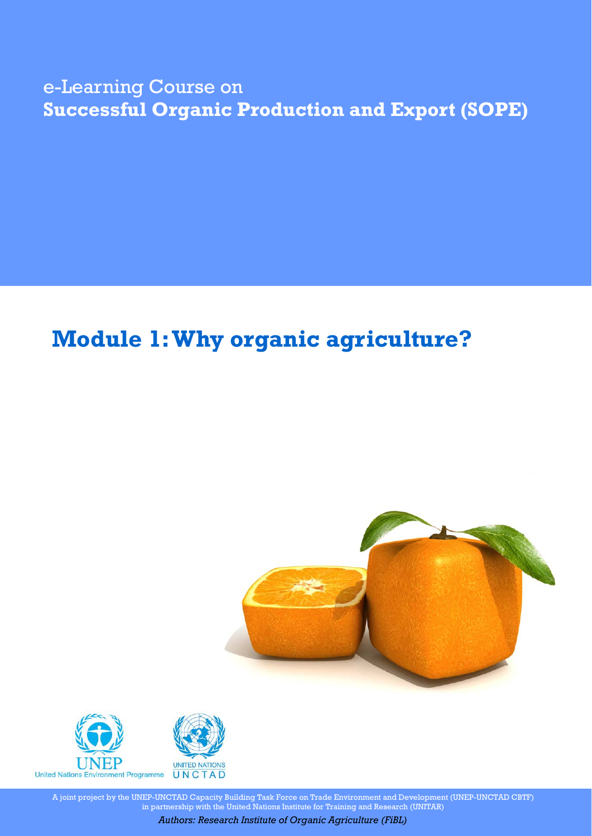## e-Learning Course on **Successful Organic Production and Export (SOPE)**

# **Module 1: Why organic agriculture?**





A joint project by the UNEP-UNCTAD Capacity Building Task Force on Trade Environment and Development (UNEP-UNCTAD CBTF) in partnership with the United Nations Institute for Training and Research (UNITAR)

*Authors: Research Institute of Organic Agriculture (FiBL)*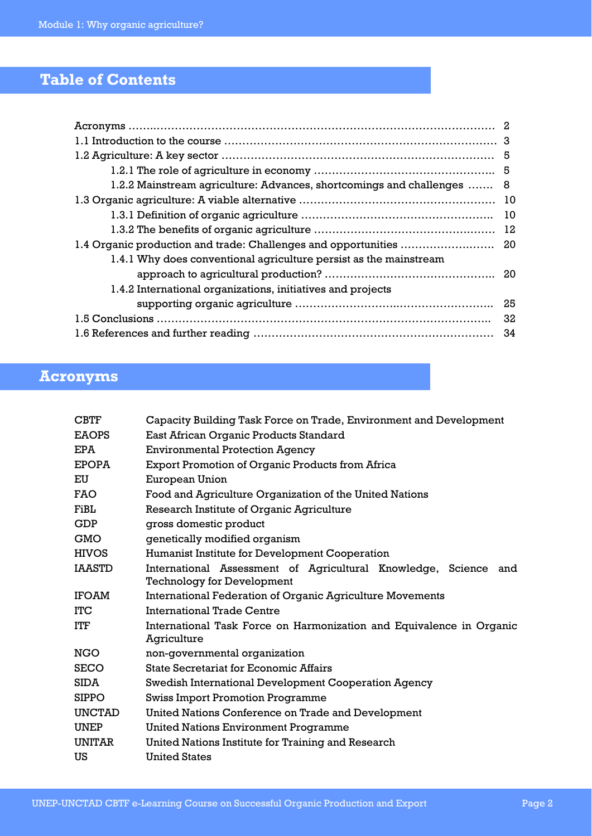## **Table of Contents**

| 1.2.2 Mainstream agriculture: Advances, shortcomings and challenges | -8   |
|---------------------------------------------------------------------|------|
|                                                                     |      |
|                                                                     | - 10 |
|                                                                     |      |
|                                                                     |      |
| 1.4.1 Why does conventional agriculture persist as the mainstream   |      |
|                                                                     |      |
| 1.4.2 International organizations, initiatives and projects         |      |
|                                                                     |      |
| 32                                                                  |      |
| -34                                                                 |      |

## **Acronyms**

| <b>CBTF</b>   | Capacity Building Task Force on Trade, Environment and Development                                   |
|---------------|------------------------------------------------------------------------------------------------------|
| <b>EAOPS</b>  | East African Organic Products Standard                                                               |
| <b>EPA</b>    | <b>Environmental Protection Agency</b>                                                               |
| <b>EPOPA</b>  | Export Promotion of Organic Products from Africa                                                     |
| EU            | European Union                                                                                       |
| FAO           | Food and Agriculture Organization of the United Nations                                              |
| FiBL          | Research Institute of Organic Agriculture                                                            |
| GDP           | gross domestic product                                                                               |
| <b>GMO</b>    | genetically modified organism                                                                        |
| <b>HIVOS</b>  | Humanist Institute for Development Cooperation                                                       |
| IAASTD        | International Assessment of Agricultural Knowledge, Science and<br><b>Technology for Development</b> |
| IFOAM         | <b>International Federation of Organic Agriculture Movements</b>                                     |
| ITC           | <b>International Trade Centre</b>                                                                    |
| ITF           | International Task Force on Harmonization and Equivalence in Organic<br>Agriculture                  |
| NGO           | non-governmental organization                                                                        |
| <b>SECO</b>   | <b>State Secretariat for Economic Affairs</b>                                                        |
| <b>SIDA</b>   | Swedish International Development Cooperation Agency                                                 |
| <b>SIPPO</b>  | <b>Swiss Import Promotion Programme</b>                                                              |
| <b>UNCTAD</b> | United Nations Conference on Trade and Development                                                   |
| <b>UNEP</b>   | <b>United Nations Environment Programme</b>                                                          |
| <b>UNITAR</b> | United Nations Institute for Training and Research                                                   |
| US            | <b>United States</b>                                                                                 |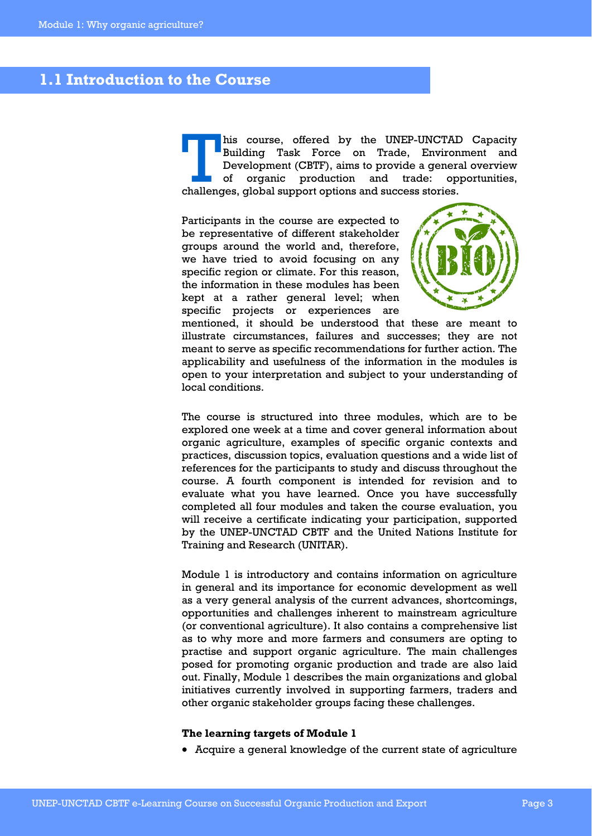### **1.1 Introduction to the Course**

his course, offered by the UNEP-UNCTAD Capacity<br>Building Task Force on Trade, Environment and<br>Development (CBTF), aims to provide a general overview<br>of organic production and trade: opportunities, Building Task Force on Trade, Environment and Development (CBTF), aims to provide a general overview of organic production and trade: challenges, global support options and success stories.

Participants in the course are expected to be representative of different stakeholder groups around the world and, therefore, we have tried to avoid focusing on any specific region or climate. For this reason, the information in these modules has been kept at a rather general level; when specific projects or experiences are



mentioned, it should be understood that these are meant to illustrate circumstances, failures and successes; they are not meant to serve as specific recommendations for further action. The applicability and usefulness of the information in the modules is open to your interpretation and subject to your understanding of local conditions.

The course is structured into three modules, which are to be explored one week at a time and cover general information about organic agriculture, examples of specific organic contexts and practices, discussion topics, evaluation questions and a wide list of references for the participants to study and discuss throughout the course. A fourth component is intended for revision and to evaluate what you have learned. Once you have successfully completed all four modules and taken the course evaluation, you will receive a certificate indicating your participation, supported by the UNEP-UNCTAD CBTF and the United Nations Institute for Training and Research (UNITAR).

Module 1 is introductory and contains information on agriculture in general and its importance for economic development as well as a very general analysis of the current advances, shortcomings, opportunities and challenges inherent to mainstream agriculture (or conventional agriculture). It also contains a comprehensive list as to why more and more farmers and consumers are opting to practise and support organic agriculture. The main challenges posed for promoting organic production and trade are also laid out. Finally, Module 1 describes the main organizations and global initiatives currently involved in supporting farmers, traders and other organic stakeholder groups facing these challenges.

#### **The learning targets of Module 1**

• Acquire a general knowledge of the current state of agriculture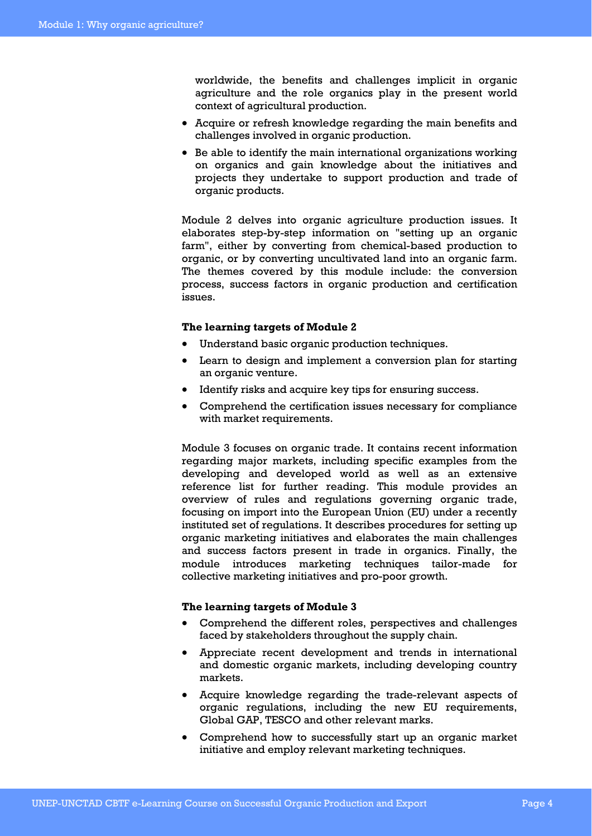worldwide, the benefits and challenges implicit in organic agriculture and the role organics play in the present world context of agricultural production.

- Acquire or refresh knowledge regarding the main benefits and challenges involved in organic production.
- Be able to identify the main international organizations working on organics and gain knowledge about the initiatives and projects they undertake to support production and trade of organic products.

Module 2 delves into organic agriculture production issues. It elaborates step-by-step information on "setting up an organic farm", either by converting from chemical-based production to organic, or by converting uncultivated land into an organic farm. The themes covered by this module include: the conversion process, success factors in organic production and certification issues.

#### **The learning targets of Module 2**

- Understand basic organic production techniques.
- Learn to design and implement a conversion plan for starting an organic venture.
- Identify risks and acquire key tips for ensuring success.
- Comprehend the certification issues necessary for compliance with market requirements.

Module 3 focuses on organic trade. It contains recent information regarding major markets, including specific examples from the developing and developed world as well as an extensive reference list for further reading. This module provides an overview of rules and regulations governing organic trade, focusing on import into the European Union (EU) under a recently instituted set of regulations. It describes procedures for setting up organic marketing initiatives and elaborates the main challenges and success factors present in trade in organics. Finally, the module introduces marketing techniques tailor-made for collective marketing initiatives and pro-poor growth.

#### **The learning targets of Module 3**

- Comprehend the different roles, perspectives and challenges faced by stakeholders throughout the supply chain.
- Appreciate recent development and trends in international and domestic organic markets, including developing country markets.
- Acquire knowledge regarding the trade-relevant aspects of organic regulations, including the new EU requirements, Global GAP, TESCO and other relevant marks.
- Comprehend how to successfully start up an organic market initiative and employ relevant marketing techniques.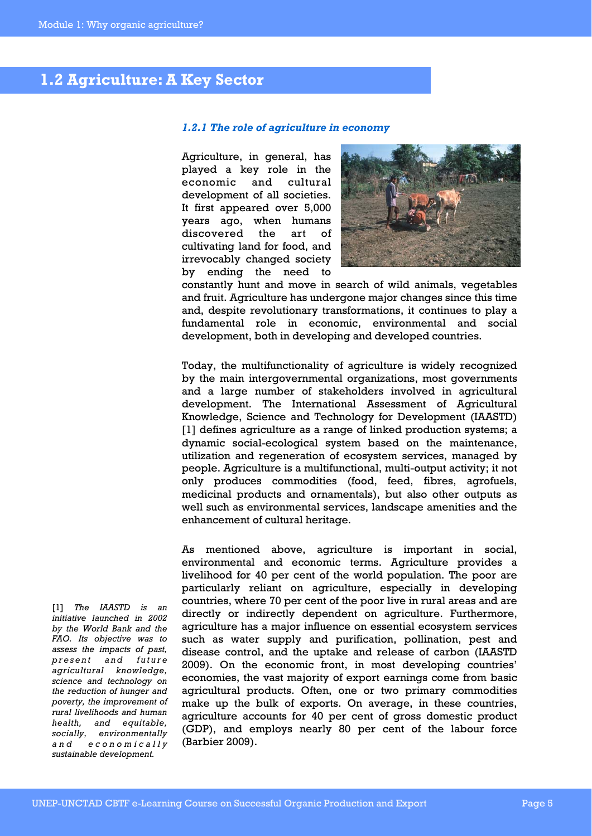## **1.2 Agriculture: A Key Sector**

#### *1.2.1 The role of agriculture in economy*

Agriculture, in general, has played a key role in the economic and cultural development of all societies. It first appeared over 5,000 years ago, when humans discovered the art of cultivating land for food, and irrevocably changed society by ending the need to



constantly hunt and move in search of wild animals, vegetables and fruit. Agriculture has undergone major changes since this time and, despite revolutionary transformations, it continues to play a fundamental role in economic, environmental and social development, both in developing and developed countries.

Today, the multifunctionality of agriculture is widely recognized by the main intergovernmental organizations, most governments and a large number of stakeholders involved in agricultural development. The International Assessment of Agricultural Knowledge, Science and Technology for Development (IAASTD) [1] defines agriculture as a range of linked production systems; a dynamic social-ecological system based on the maintenance, utilization and regeneration of ecosystem services, managed by people. Agriculture is a multifunctional, multi-output activity; it not only produces commodities (food, feed, fibres, agrofuels, medicinal products and ornamentals), but also other outputs as well such as environmental services, landscape amenities and the enhancement of cultural heritage.

As mentioned above, agriculture is important in social, environmental and economic terms. Agriculture provides a livelihood for 40 per cent of the world population. The poor are particularly reliant on agriculture, especially in developing countries, where 70 per cent of the poor live in rural areas and are directly or indirectly dependent on agriculture. Furthermore, agriculture has a major influence on essential ecosystem services such as water supply and purification, pollination, pest and disease control, and the uptake and release of carbon (IAASTD 2009). On the economic front, in most developing countries' economies, the vast majority of export earnings come from basic agricultural products. Often, one or two primary commodities make up the bulk of exports. On average, in these countries, agriculture accounts for 40 per cent of gross domestic product (GDP), and employs nearly 80 per cent of the labour force (Barbier 2009).

[1] *The IAASTD is an initiative launched in 2002 by the World Bank and the FAO. Its objective was to assess the impacts of past, p r e s e n t a n d f u t u r e agricultural knowledge, science and technology on the reduction of hunger and poverty, the improvement of rural livelihoods and human health, and equitable, socially, environmentally a n d e c o n o m i c a l l y sustainable development.*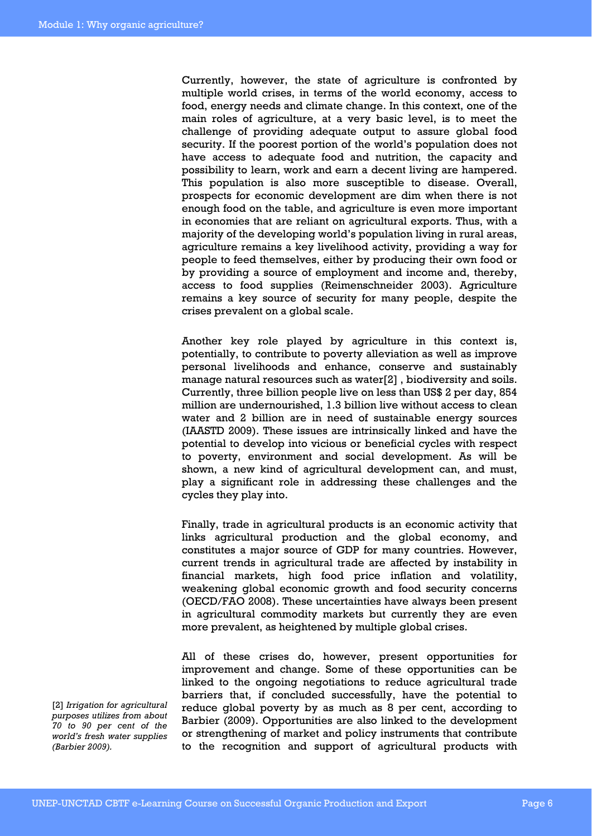Currently, however, the state of agriculture is confronted by multiple world crises, in terms of the world economy, access to food, energy needs and climate change. In this context, one of the main roles of agriculture, at a very basic level, is to meet the challenge of providing adequate output to assure global food security. If the poorest portion of the world's population does not have access to adequate food and nutrition, the capacity and possibility to learn, work and earn a decent living are hampered. This population is also more susceptible to disease. Overall, prospects for economic development are dim when there is not enough food on the table, and agriculture is even more important in economies that are reliant on agricultural exports. Thus, with a majority of the developing world's population living in rural areas, agriculture remains a key livelihood activity, providing a way for people to feed themselves, either by producing their own food or by providing a source of employment and income and, thereby, access to food supplies (Reimenschneider 2003). Agriculture remains a key source of security for many people, despite the crises prevalent on a global scale.

Another key role played by agriculture in this context is, potentially, to contribute to poverty alleviation as well as improve personal livelihoods and enhance, conserve and sustainably manage natural resources such as water[2] , biodiversity and soils. Currently, three billion people live on less than US\$ 2 per day, 854 million are undernourished, 1.3 billion live without access to clean water and 2 billion are in need of sustainable energy sources (IAASTD 2009). These issues are intrinsically linked and have the potential to develop into vicious or beneficial cycles with respect to poverty, environment and social development. As will be shown, a new kind of agricultural development can, and must, play a significant role in addressing these challenges and the cycles they play into.

Finally, trade in agricultural products is an economic activity that links agricultural production and the global economy, and constitutes a major source of GDP for many countries. However, current trends in agricultural trade are affected by instability in financial markets, high food price inflation and volatility, weakening global economic growth and food security concerns (OECD/FAO 2008). These uncertainties have always been present in agricultural commodity markets but currently they are even more prevalent, as heightened by multiple global crises.

All of these crises do, however, present opportunities for improvement and change. Some of these opportunities can be linked to the ongoing negotiations to reduce agricultural trade barriers that, if concluded successfully, have the potential to reduce global poverty by as much as 8 per cent, according to Barbier (2009). Opportunities are also linked to the development or strengthening of market and policy instruments that contribute to the recognition and support of agricultural products with

[2] *Irrigation for agricultural purposes utilizes from about 70 to 90 per cent of the world's fresh water supplies (Barbier 2009).*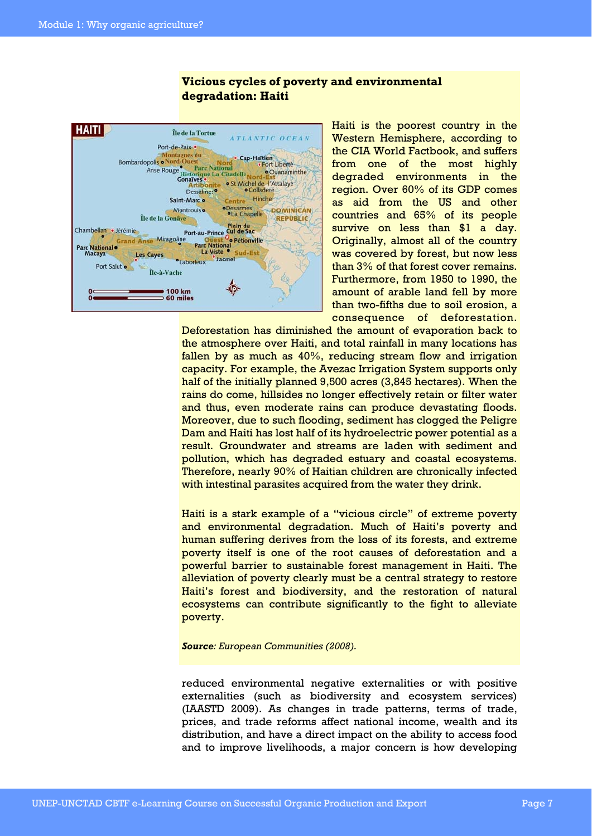### **Vicious cycles of poverty and environmental degradation: Haiti**



Haiti is the poorest country in the Western Hemisphere, according to the CIA World Factbook, and suffers from one of the most highly degraded environments in the region. Over 60% of its GDP comes as aid from the US and other countries and 65% of its people survive on less than \$1 a day. Originally, almost all of the country was covered by forest, but now less than 3% of that forest cover remains. Furthermore, from 1950 to 1990, the amount of arable land fell by more than two-fifths due to soil erosion, a consequence of deforestation.

Deforestation has diminished the amount of evaporation back to the atmosphere over Haiti, and total rainfall in many locations has fallen by as much as  $40\%$ , reducing stream flow and irrigation capacity. For example, the Avezac Irrigation System supports only half of the initially planned 9,500 acres (3,845 hectares). When the rains do come, hillsides no longer effectively retain or filter water and thus, even moderate rains can produce devastating floods. Moreover, due to such flooding, sediment has clogged the Peligre Dam and Haiti has lost half of its hydroelectric power potential as a result. Groundwater and streams are laden with sediment and pollution, which has degraded estuary and coastal ecosystems. Therefore, nearly 90% of Haitian children are chronically infected with intestinal parasites acquired from the water they drink.

Haiti is a stark example of a "vicious circle" of extreme poverty and environmental degradation. Much of Haiti's poverty and human suffering derives from the loss of its forests, and extreme poverty itself is one of the root causes of deforestation and a powerful barrier to sustainable forest management in Haiti. The alleviation of poverty clearly must be a central strategy to restore Haiti's forest and biodiversity, and the restoration of natural ecosystems can contribute significantly to the fight to alleviate poverty.

#### *Source: European Communities (2008).*

reduced environmental negative externalities or with positive externalities (such as biodiversity and ecosystem services) (IAASTD 2009). As changes in trade patterns, terms of trade, prices, and trade reforms affect national income, wealth and its distribution, and have a direct impact on the ability to access food and to improve livelihoods, a major concern is how developing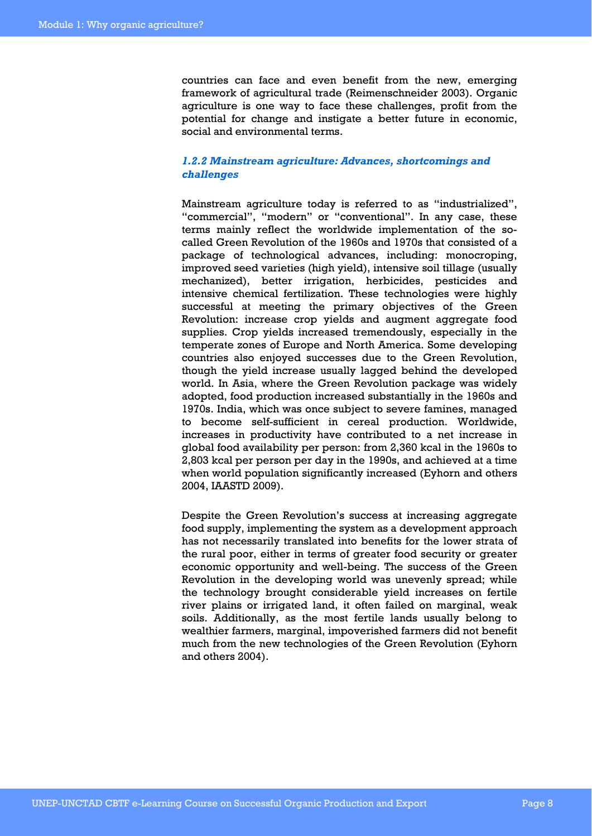countries can face and even benefit from the new, emerging framework of agricultural trade (Reimenschneider 2003). Organic agriculture is one way to face these challenges, profit from the potential for change and instigate a better future in economic, social and environmental terms.

#### *1.2.2 Mainstream agriculture: Advances, shortcomings and challenges*

Mainstream agriculture today is referred to as "industrialized", "commercial", "modern" or "conventional". In any case, these terms mainly reflect the worldwide implementation of the socalled Green Revolution of the 1960s and 1970s that consisted of a package of technological advances, including: monocroping, improved seed varieties (high yield), intensive soil tillage (usually mechanized), better irrigation, herbicides, pesticides and intensive chemical fertilization. These technologies were highly successful at meeting the primary objectives of the Green Revolution: increase crop yields and augment aggregate food supplies. Crop yields increased tremendously, especially in the temperate zones of Europe and North America. Some developing countries also enjoyed successes due to the Green Revolution, though the yield increase usually lagged behind the developed world. In Asia, where the Green Revolution package was widely adopted, food production increased substantially in the 1960s and 1970s. India, which was once subject to severe famines, managed to become self-sufficient in cereal production. Worldwide, increases in productivity have contributed to a net increase in global food availability per person: from 2,360 kcal in the 1960s to 2,803 kcal per person per day in the 1990s, and achieved at a time when world population significantly increased (Eyhorn and others 2004, IAASTD 2009).

Despite the Green Revolution's success at increasing aggregate food supply, implementing the system as a development approach has not necessarily translated into benefits for the lower strata of the rural poor, either in terms of greater food security or greater economic opportunity and well-being. The success of the Green Revolution in the developing world was unevenly spread; while the technology brought considerable yield increases on fertile river plains or irrigated land, it often failed on marginal, weak soils. Additionally, as the most fertile lands usually belong to wealthier farmers, marginal, impoverished farmers did not benefit much from the new technologies of the Green Revolution (Eyhorn and others 2004).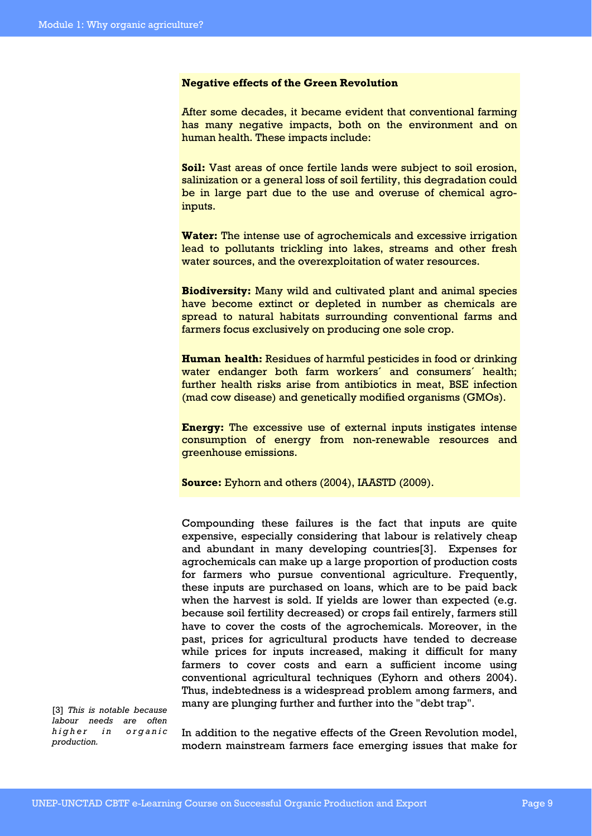#### **Negative effects of the Green Revolution**

After some decades, it became evident that conventional farming has many negative impacts, both on the environment and on human health. These impacts include:

**Soil:** Vast areas of once fertile lands were subject to soil erosion, salinization or a general loss of soil fertility, this degradation could be in large part due to the use and overuse of chemical agroinputs.

**Water:** The intense use of agrochemicals and excessive irrigation lead to pollutants trickling into lakes, streams and other fresh water sources, and the overexploitation of water resources.

**Biodiversity:** Many wild and cultivated plant and animal species have become extinct or depleted in number as chemicals are spread to natural habitats surrounding conventional farms and farmers focus exclusively on producing one sole crop.

**Human health:** Residues of harmful pesticides in food or drinking water endanger both farm workers' and consumers' health; further health risks arise from antibiotics in meat, BSE infection (mad cow disease) and genetically modified organisms (GMOs).

**Energy:** The excessive use of external inputs instigates intense consumption of energy from non-renewable resources and greenhouse emissions.

**Source:** Eyhorn and others (2004), IAASTD (2009).

Compounding these failures is the fact that inputs are quite expensive, especially considering that labour is relatively cheap and abundant in many developing countries[3]. Expenses for agrochemicals can make up a large proportion of production costs for farmers who pursue conventional agriculture. Frequently, these inputs are purchased on loans, which are to be paid back when the harvest is sold. If yields are lower than expected (e.g. because soil fertility decreased) or crops fail entirely, farmers still have to cover the costs of the agrochemicals. Moreover, in the past, prices for agricultural products have tended to decrease while prices for inputs increased, making it difficult for many farmers to cover costs and earn a sufficient income using conventional agricultural techniques (Eyhorn and others 2004). Thus, indebtedness is a widespread problem among farmers, and many are plunging further and further into the "debt trap".

[3] *This is notable because labour needs are often higher* in organic *production.* 

In addition to the negative effects of the Green Revolution model, modern mainstream farmers face emerging issues that make for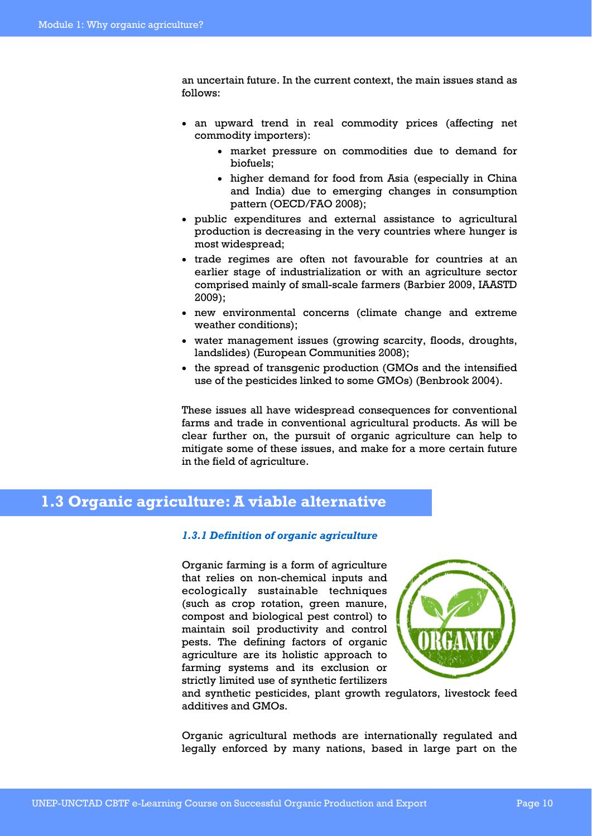an uncertain future. In the current context, the main issues stand as follows:

- an upward trend in real commodity prices (affecting net commodity importers):
	- market pressure on commodities due to demand for biofuels;
	- higher demand for food from Asia (especially in China and India) due to emerging changes in consumption pattern (OECD/FAO 2008);
- public expenditures and external assistance to agricultural production is decreasing in the very countries where hunger is most widespread;
- trade regimes are often not favourable for countries at an earlier stage of industrialization or with an agriculture sector comprised mainly of small-scale farmers (Barbier 2009, IAASTD 2009);
- new environmental concerns (climate change and extreme weather conditions);
- water management issues (growing scarcity, floods, droughts, landslides) (European Communities 2008);
- the spread of transgenic production (GMOs and the intensified use of the pesticides linked to some GMOs) (Benbrook 2004).

These issues all have widespread consequences for conventional farms and trade in conventional agricultural products. As will be clear further on, the pursuit of organic agriculture can help to mitigate some of these issues, and make for a more certain future in the field of agriculture.

### **1.3 Organic agriculture: A viable alternative**

#### *1.3.1 Definition of organic agriculture*

Organic farming is a form of agriculture that relies on non-chemical inputs and ecologically sustainable techniques (such as crop rotation, green manure, compost and biological pest control) to maintain soil productivity and control pests. The defining factors of organic agriculture are its holistic approach to farming systems and its exclusion or strictly limited use of synthetic fertilizers



and synthetic pesticides, plant growth regulators, livestock feed additives and GMOs.

Organic agricultural methods are internationally regulated and legally enforced by many nations, based in large part on the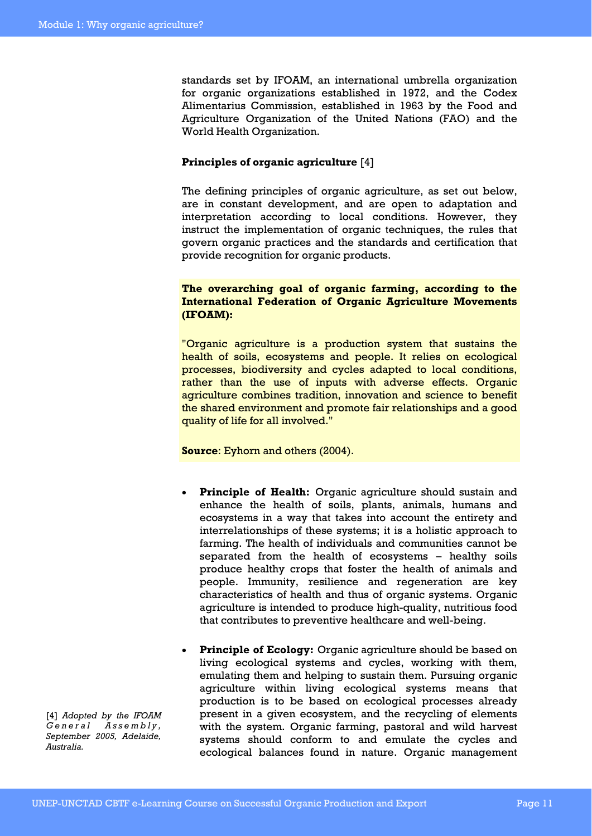standards set by IFOAM, an international umbrella organization for organic organizations established in 1972, and the Codex Alimentarius Commission, established in 1963 by the Food and Agriculture Organization of the United Nations (FAO) and the World Health Organization.

#### **Principles of organic agriculture** [4]

The defining principles of organic agriculture, as set out below, are in constant development, and are open to adaptation and interpretation according to local conditions. However, they instruct the implementation of organic techniques, the rules that govern organic practices and the standards and certification that provide recognition for organic products.

#### **The overarching goal of organic farming, according to the International Federation of Organic Agriculture Movements (IFOAM):**

"Organic agriculture is a production system that sustains the health of soils, ecosystems and people. It relies on ecological processes, biodiversity and cycles adapted to local conditions, rather than the use of inputs with adverse effects. Organic agriculture combines tradition, innovation and science to benefit the shared environment and promote fair relationships and a good quality of life for all involved."

**Source**: Eyhorn and others (2004).

- **Principle of Health:** Organic agriculture should sustain and enhance the health of soils, plants, animals, humans and ecosystems in a way that takes into account the entirety and interrelationships of these systems; it is a holistic approach to farming. The health of individuals and communities cannot be separated from the health of ecosystems – healthy soils produce healthy crops that foster the health of animals and people. Immunity, resilience and regeneration are key characteristics of health and thus of organic systems. Organic agriculture is intended to produce high-quality, nutritious food that contributes to preventive healthcare and well-being.
- Principle of Ecology: Organic agriculture should be based on living ecological systems and cycles, working with them, emulating them and helping to sustain them. Pursuing organic agriculture within living ecological systems means that production is to be based on ecological processes already present in a given ecosystem, and the recycling of elements with the system. Organic farming, pastoral and wild harvest systems should conform to and emulate the cycles and ecological balances found in nature. Organic management

[4] *Adopted by the IFOAM G e n e r a l A s s e m b l y , September 2005, Adelaide, Australia.*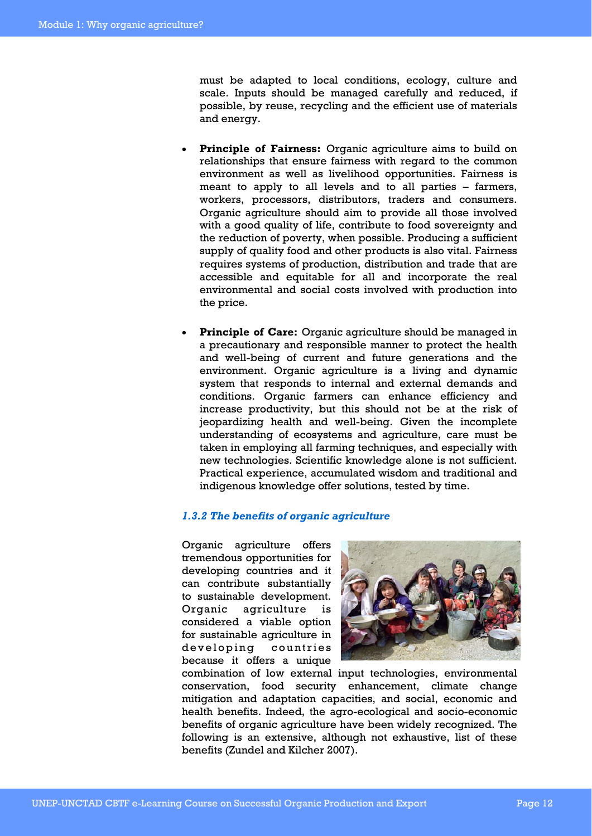must be adapted to local conditions, ecology, culture and scale. Inputs should be managed carefully and reduced, if possible, by reuse, recycling and the efficient use of materials and energy.

- **Principle of Fairness:** Organic agriculture aims to build on relationships that ensure fairness with regard to the common environment as well as livelihood opportunities. Fairness is meant to apply to all levels and to all parties – farmers, workers, processors, distributors, traders and consumers. Organic agriculture should aim to provide all those involved with a good quality of life, contribute to food sovereignty and the reduction of poverty, when possible. Producing a sufficient supply of quality food and other products is also vital. Fairness requires systems of production, distribution and trade that are accessible and equitable for all and incorporate the real environmental and social costs involved with production into the price.
- **Principle of Care:** Organic agriculture should be managed in a precautionary and responsible manner to protect the health and well-being of current and future generations and the environment. Organic agriculture is a living and dynamic system that responds to internal and external demands and conditions. Organic farmers can enhance efficiency and increase productivity, but this should not be at the risk of jeopardizing health and well-being. Given the incomplete understanding of ecosystems and agriculture, care must be taken in employing all farming techniques, and especially with new technologies. Scientific knowledge alone is not sufficient. Practical experience, accumulated wisdom and traditional and indigenous knowledge offer solutions, tested by time.

### *1.3.2 The benefits of organic agriculture*

Organic agriculture offers tremendous opportunities for developing countries and it can contribute substantially to sustainable development. Organic agriculture is considered a viable option for sustainable agriculture in developing countries because it offers a unique



combination of low external input technologies, environmental conservation, food security enhancement, climate change mitigation and adaptation capacities, and social, economic and health benefits. Indeed, the agro-ecological and socio-economic benefits of organic agriculture have been widely recognized. The following is an extensive, although not exhaustive, list of these benefits (Zundel and Kilcher 2007).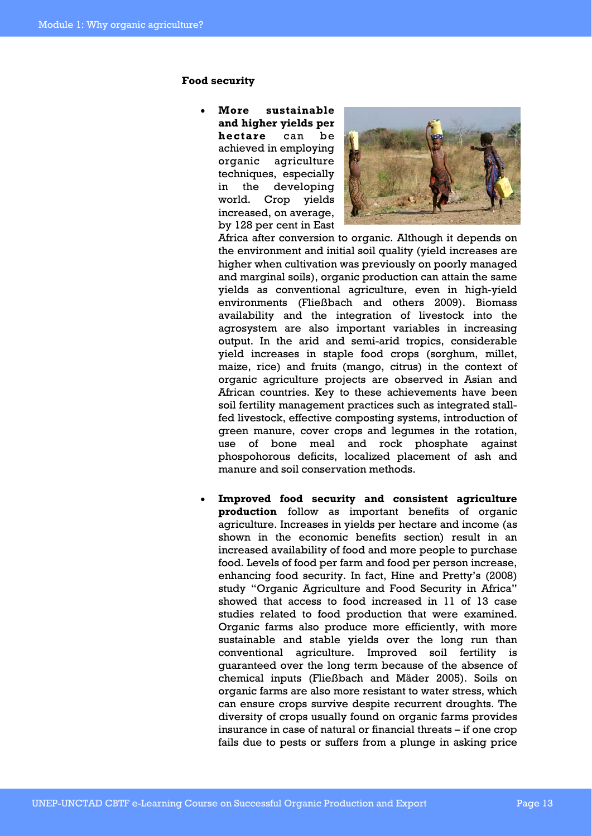#### **Food security**

• **More sustainable and higher yields per hectare** can be achieved in employing organic agriculture techniques, especially in the developing world. Crop yields increased, on average, by 128 per cent in East



Africa after conversion to organic. Although it depends on the environment and initial soil quality (yield increases are higher when cultivation was previously on poorly managed and marginal soils), organic production can attain the same yields as conventional agriculture, even in high-yield environments (Fließbach and others 2009). Biomass availability and the integration of livestock into the agrosystem are also important variables in increasing output. In the arid and semi-arid tropics, considerable yield increases in staple food crops (sorghum, millet, maize, rice) and fruits (mango, citrus) in the context of organic agriculture projects are observed in Asian and African countries. Key to these achievements have been soil fertility management practices such as integrated stallfed livestock, effective composting systems, introduction of green manure, cover crops and legumes in the rotation, use of bone meal and rock phosphate against phospohorous deficits, localized placement of ash and manure and soil conservation methods.

• **Improved food security and consistent agriculture production** follow as important benefits of organic agriculture. Increases in yields per hectare and income (as shown in the economic benefits section) result in an increased availability of food and more people to purchase food. Levels of food per farm and food per person increase, enhancing food security. In fact, Hine and Pretty's (2008) study "Organic Agriculture and Food Security in Africa" showed that access to food increased in 11 of 13 case studies related to food production that were examined. Organic farms also produce more efficiently, with more sustainable and stable yields over the long run than conventional agriculture. Improved soil fertility is guaranteed over the long term because of the absence of chemical inputs (Fließbach and Mäder 2005). Soils on organic farms are also more resistant to water stress, which can ensure crops survive despite recurrent droughts. The diversity of crops usually found on organic farms provides insurance in case of natural or financial threats – if one crop fails due to pests or suffers from a plunge in asking price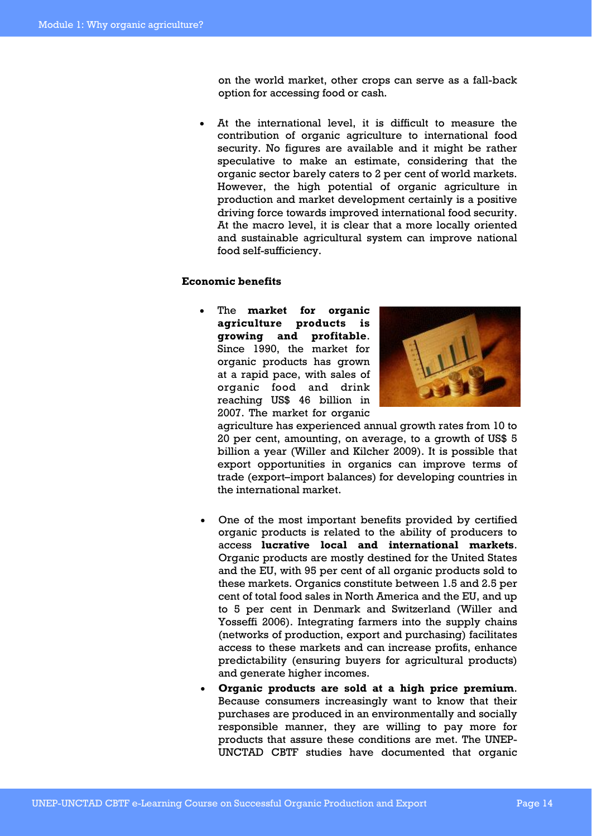on the world market, other crops can serve as a fall-back option for accessing food or cash.

• At the international level, it is difficult to measure the contribution of organic agriculture to international food security. No figures are available and it might be rather speculative to make an estimate, considering that the organic sector barely caters to 2 per cent of world markets. However, the high potential of organic agriculture in production and market development certainly is a positive driving force towards improved international food security. At the macro level, it is clear that a more locally oriented and sustainable agricultural system can improve national food self-sufficiency.

#### **Economic benefits**

• The **market for organic agriculture products is growing and profitable**. Since 1990, the market for organic products has grown at a rapid pace, with sales of organic food and drink reaching US\$ 46 billion in 2007. The market for organic



agriculture has experienced annual growth rates from 10 to 20 per cent, amounting, on average, to a growth of US\$ 5 billion a year (Willer and Kilcher 2009). It is possible that export opportunities in organics can improve terms of trade (export–import balances) for developing countries in the international market.

- One of the most important benefits provided by certified organic products is related to the ability of producers to access **lucrative local and international markets**. Organic products are mostly destined for the United States and the EU, with 95 per cent of all organic products sold to these markets. Organics constitute between 1.5 and 2.5 per cent of total food sales in North America and the EU, and up to 5 per cent in Denmark and Switzerland (Willer and Yosseffi 2006). Integrating farmers into the supply chains (networks of production, export and purchasing) facilitates access to these markets and can increase profits, enhance predictability (ensuring buyers for agricultural products) and generate higher incomes.
- **Organic products are sold at a high price premium**. Because consumers increasingly want to know that their purchases are produced in an environmentally and socially responsible manner, they are willing to pay more for products that assure these conditions are met. The UNEP-UNCTAD CBTF studies have documented that organic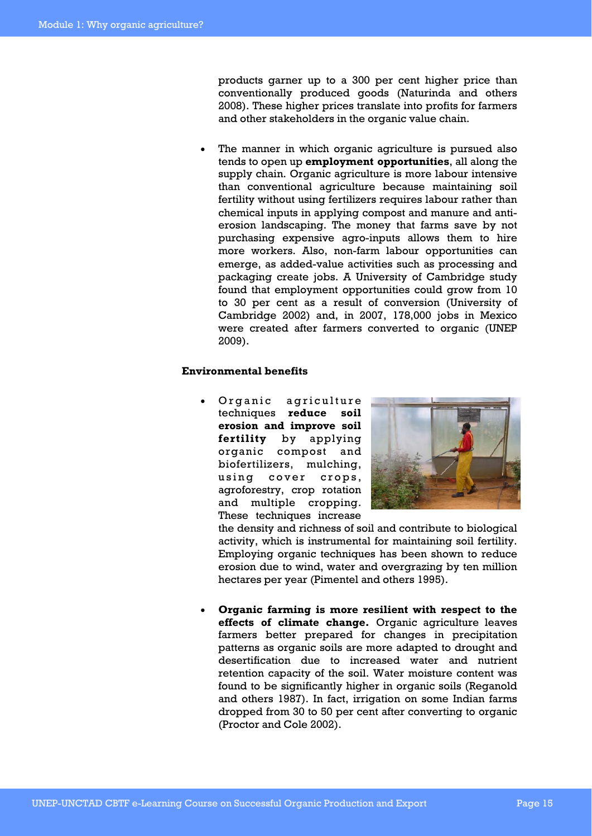products garner up to a 300 per cent higher price than conventionally produced goods (Naturinda and others 2008). These higher prices translate into profits for farmers and other stakeholders in the organic value chain.

• The manner in which organic agriculture is pursued also tends to open up **employment opportunities**, all along the supply chain. Organic agriculture is more labour intensive than conventional agriculture because maintaining soil fertility without using fertilizers requires labour rather than chemical inputs in applying compost and manure and antierosion landscaping. The money that farms save by not purchasing expensive agro-inputs allows them to hire more workers. Also, non-farm labour opportunities can emerge, as added-value activities such as processing and packaging create jobs. A University of Cambridge study found that employment opportunities could grow from 10 to 30 per cent as a result of conversion (University of Cambridge 2002) and, in 2007, 178,000 jobs in Mexico were created after farmers converted to organic (UNEP 2009).

#### **Environmental benefits**

Organic agriculture techniques **reduce soil erosion and improve soil fertility** by applying organic compost and biofertilizers, mulching, using cover crops, agroforestry, crop rotation and multiple cropping. These techniques increase



the density and richness of soil and contribute to biological activity, which is instrumental for maintaining soil fertility. Employing organic techniques has been shown to reduce erosion due to wind, water and overgrazing by ten million hectares per year (Pimentel and others 1995).

• **Organic farming is more resilient with respect to the effects of climate change.** Organic agriculture leaves farmers better prepared for changes in precipitation patterns as organic soils are more adapted to drought and desertification due to increased water and nutrient retention capacity of the soil. Water moisture content was found to be significantly higher in organic soils (Reganold and others 1987). In fact, irrigation on some Indian farms dropped from 30 to 50 per cent after converting to organic (Proctor and Cole 2002).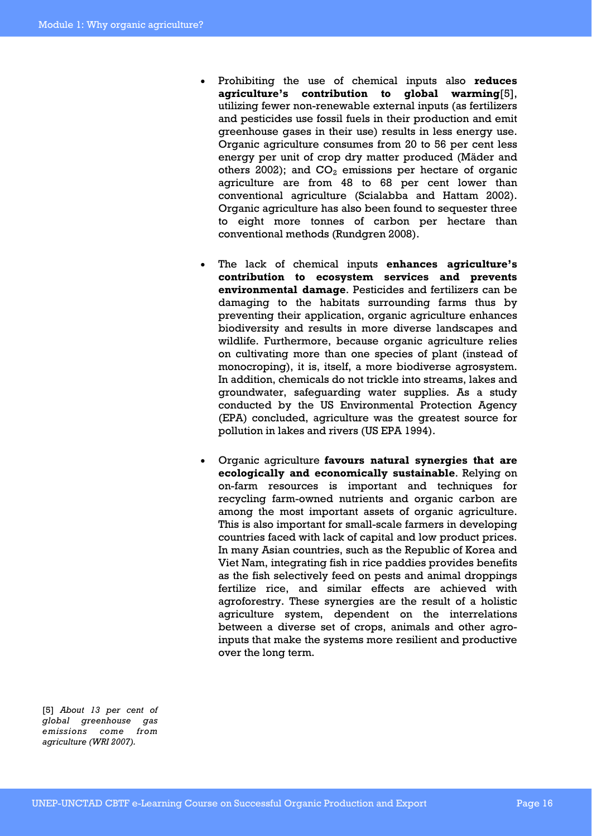- Prohibiting the use of chemical inputs also **reduces agriculture's contribution to global warming**[5], utilizing fewer non-renewable external inputs (as fertilizers and pesticides use fossil fuels in their production and emit greenhouse gases in their use) results in less energy use. Organic agriculture consumes from 20 to 56 per cent less energy per unit of crop dry matter produced (Mäder and others 2002); and  $CO<sub>2</sub>$  emissions per hectare of organic agriculture are from 48 to 68 per cent lower than conventional agriculture (Scialabba and Hattam 2002). Organic agriculture has also been found to sequester three to eight more tonnes of carbon per hectare than conventional methods (Rundgren 2008).
- The lack of chemical inputs **enhances agriculture's contribution to ecosystem services and prevents environmental damage**. Pesticides and fertilizers can be damaging to the habitats surrounding farms thus by preventing their application, organic agriculture enhances biodiversity and results in more diverse landscapes and wildlife. Furthermore, because organic agriculture relies on cultivating more than one species of plant (instead of monocroping), it is, itself, a more biodiverse agrosystem. In addition, chemicals do not trickle into streams, lakes and groundwater, safeguarding water supplies. As a study conducted by the US Environmental Protection Agency (EPA) concluded, agriculture was the greatest source for pollution in lakes and rivers (US EPA 1994).
- Organic agriculture **favours natural synergies that are ecologically and economically sustainable**. Relying on on-farm resources is important and techniques for recycling farm-owned nutrients and organic carbon are among the most important assets of organic agriculture. This is also important for small-scale farmers in developing countries faced with lack of capital and low product prices. In many Asian countries, such as the Republic of Korea and Viet Nam, integrating fish in rice paddies provides benefits as the fish selectively feed on pests and animal droppings fertilize rice, and similar effects are achieved with agroforestry. These synergies are the result of a holistic agriculture system, dependent on the interrelations between a diverse set of crops, animals and other agroinputs that make the systems more resilient and productive over the long term.

[5] *About 13 per cent of global greenhouse gas emissions come from agriculture (WRI 2007).*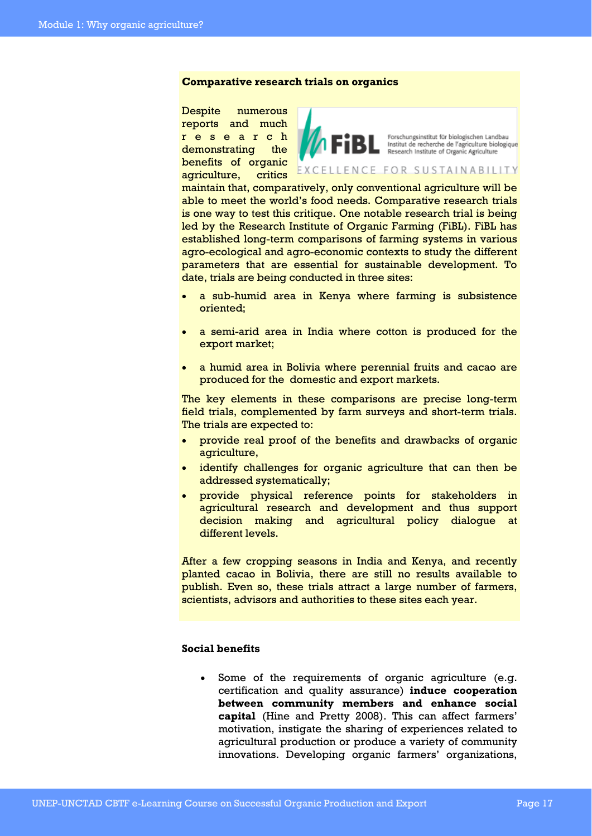#### **Comparative research trials on organics**

Despite numerous reports and much r e s e a r c h demonstrating the benefits of organic agriculture, critics



Forschungsinstitut für biologischen Landbau Institut de recherche de l'agriculture biologique

#### EXCELLENCE FOR SUSTAINABILITY

maintain that, comparatively, only conventional agriculture will be able to meet the world's food needs. Comparative research trials is one way to test this critique. One notable research trial is being led by the Research Institute of Organic Farming (FiBL). FiBL has established long-term comparisons of farming systems in various agro-ecological and agro-economic contexts to study the different parameters that are essential for sustainable development. To date, trials are being conducted in three sites:

- a sub-humid area in Kenya where farming is subsistence oriented;
- a semi-arid area in India where cotton is produced for the export market;
- a humid area in Bolivia where perennial fruits and cacao are produced for the domestic and export markets.

The key elements in these comparisons are precise long-term field trials, complemented by farm surveys and short-term trials. The trials are expected to:

- provide real proof of the benefits and drawbacks of organic agriculture,
- identify challenges for organic agriculture that can then be addressed systematically;
- provide physical reference points for stakeholders in agricultural research and development and thus support decision making and agricultural policy dialogue at different levels.

After a few cropping seasons in India and Kenya, and recently planted cacao in Bolivia, there are still no results available to publish. Even so, these trials attract a large number of farmers, scientists, advisors and authorities to these sites each year.

### **Social benefits**

Some of the requirements of organic agriculture (e.g. certification and quality assurance) **induce cooperation between community members and enhance social capital** (Hine and Pretty 2008). This can affect farmers' motivation, instigate the sharing of experiences related to agricultural production or produce a variety of community innovations. Developing organic farmers' organizations,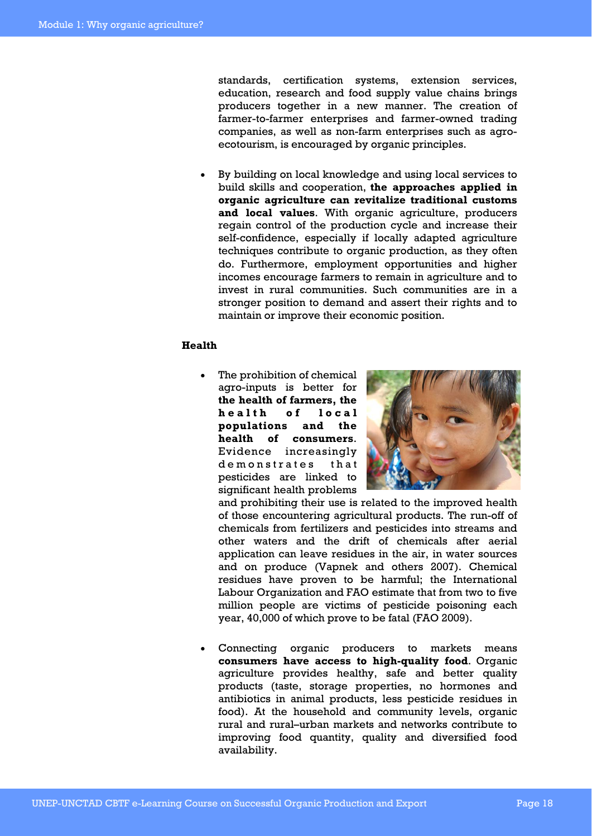standards, certification systems, extension services, education, research and food supply value chains brings producers together in a new manner. The creation of farmer-to-farmer enterprises and farmer-owned trading companies, as well as non-farm enterprises such as agroecotourism, is encouraged by organic principles.

• By building on local knowledge and using local services to build skills and cooperation, **the approaches applied in organic agriculture can revitalize traditional customs and local values**. With organic agriculture, producers regain control of the production cycle and increase their self-confidence, especially if locally adapted agriculture techniques contribute to organic production, as they often do. Furthermore, employment opportunities and higher incomes encourage farmers to remain in agriculture and to invest in rural communities. Such communities are in a stronger position to demand and assert their rights and to maintain or improve their economic position.

#### **Health**

• The prohibition of chemical agro-inputs is better for **the health of farmers, the**  h e alth of local **populations and the health of consumers**. Evidence increasingly demonstrates that pesticides are linked to significant health problems



and prohibiting their use is related to the improved health of those encountering agricultural products. The run-off of chemicals from fertilizers and pesticides into streams and other waters and the drift of chemicals after aerial application can leave residues in the air, in water sources and on produce (Vapnek and others 2007). Chemical residues have proven to be harmful; the International Labour Organization and FAO estimate that from two to five million people are victims of pesticide poisoning each year, 40,000 of which prove to be fatal (FAO 2009).

Connecting organic producers to markets means **consumers have access to high-quality food**. Organic agriculture provides healthy, safe and better quality products (taste, storage properties, no hormones and antibiotics in animal products, less pesticide residues in food). At the household and community levels, organic rural and rural–urban markets and networks contribute to improving food quantity, quality and diversified food availability.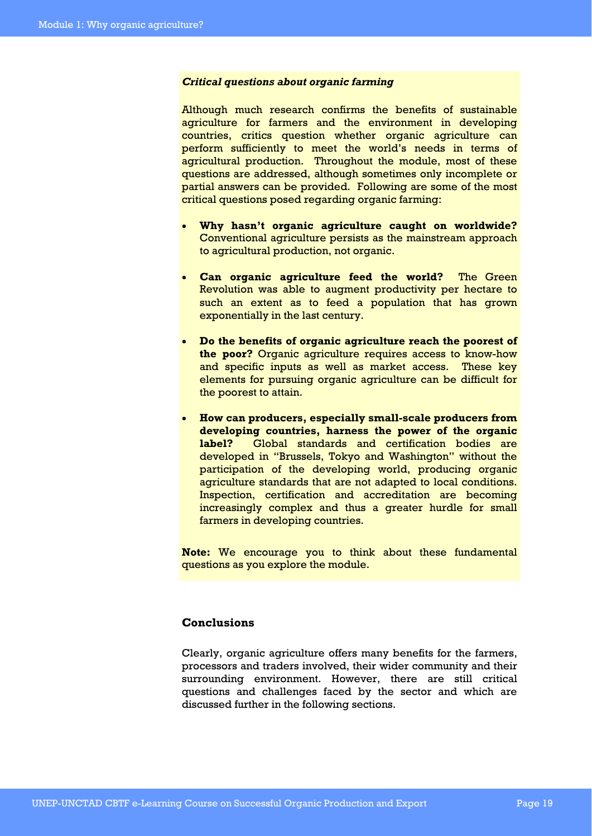#### *Critical questions about organic farming*

Although much research confirms the benefits of sustainable agriculture for farmers and the environment in developing countries, critics question whether organic agriculture can perform sufficiently to meet the world's needs in terms of agricultural production. Throughout the module, most of these questions are addressed, although sometimes only incomplete or partial answers can be provided. Following are some of the most critical questions posed regarding organic farming:

- **Why hasn't organic agriculture caught on worldwide?**  Conventional agriculture persists as the mainstream approach to agricultural production, not organic.
- **Can organic agriculture feed the world?** The Green Revolution was able to augment productivity per hectare to such an extent as to feed a population that has grown exponentially in the last century.
- **Do the benefits of organic agriculture reach the poorest of the poor?** Organic agriculture requires access to know-how and specific inputs as well as market access. These key elements for pursuing organic agriculture can be difficult for the poorest to attain.
- **How can producers, especially small-scale producers from developing countries, harness the power of the organic label?** Global standards and certification bodies are developed in "Brussels, Tokyo and Washington" without the participation of the developing world, producing organic agriculture standards that are not adapted to local conditions. Inspection, certification and accreditation are becoming increasingly complex and thus a greater hurdle for small farmers in developing countries.

**Note:** We encourage you to think about these fundamental questions as you explore the module.

#### **Conclusions**

Clearly, organic agriculture offers many benefits for the farmers, processors and traders involved, their wider community and their surrounding environment. However, there are still critical questions and challenges faced by the sector and which are discussed further in the following sections.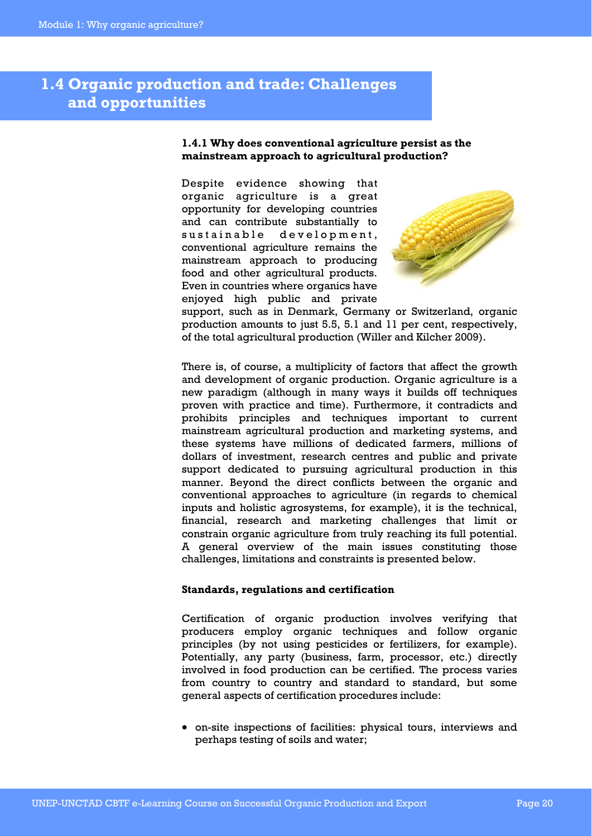## **1.4 Organic production and trade: Challenges and opportunities**

#### **1.4.1 Why does conventional agriculture persist as the mainstream approach to agricultural production?**

Despite evidence showing that organic agriculture is a great opportunity for developing countries and can contribute substantially to sustainable development, conventional agriculture remains the mainstream approach to producing food and other agricultural products. Even in countries where organics have enjoyed high public and private



support, such as in Denmark, Germany or Switzerland, organic production amounts to just 5.5, 5.1 and 11 per cent, respectively, of the total agricultural production (Willer and Kilcher 2009).

There is, of course, a multiplicity of factors that affect the growth and development of organic production. Organic agriculture is a new paradigm (although in many ways it builds off techniques proven with practice and time). Furthermore, it contradicts and prohibits principles and techniques important to current mainstream agricultural production and marketing systems, and these systems have millions of dedicated farmers, millions of dollars of investment, research centres and public and private support dedicated to pursuing agricultural production in this manner. Beyond the direct conflicts between the organic and conventional approaches to agriculture (in regards to chemical inputs and holistic agrosystems, for example), it is the technical, financial, research and marketing challenges that limit or constrain organic agriculture from truly reaching its full potential. A general overview of the main issues constituting those challenges, limitations and constraints is presented below.

#### **Standards, regulations and certification**

Certification of organic production involves verifying that producers employ organic techniques and follow organic principles (by not using pesticides or fertilizers, for example). Potentially, any party (business, farm, processor, etc.) directly involved in food production can be certified. The process varies from country to country and standard to standard, but some general aspects of certification procedures include:

• on-site inspections of facilities: physical tours, interviews and perhaps testing of soils and water;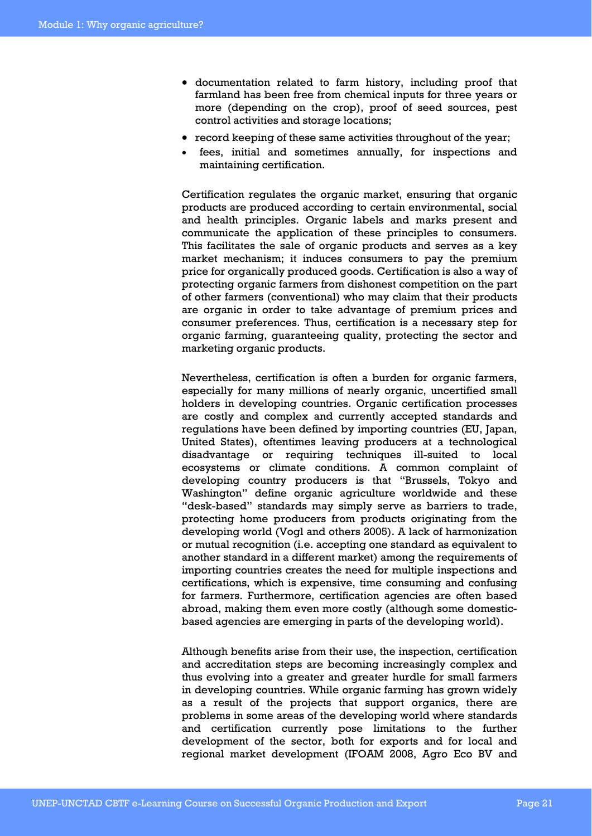- documentation related to farm history, including proof that farmland has been free from chemical inputs for three years or more (depending on the crop), proof of seed sources, pest control activities and storage locations;
- record keeping of these same activities throughout of the year;
- fees, initial and sometimes annually, for inspections and maintaining certification.

Certification regulates the organic market, ensuring that organic products are produced according to certain environmental, social and health principles. Organic labels and marks present and communicate the application of these principles to consumers. This facilitates the sale of organic products and serves as a key market mechanism; it induces consumers to pay the premium price for organically produced goods. Certification is also a way of protecting organic farmers from dishonest competition on the part of other farmers (conventional) who may claim that their products are organic in order to take advantage of premium prices and consumer preferences. Thus, certification is a necessary step for organic farming, guaranteeing quality, protecting the sector and marketing organic products.

Nevertheless, certification is often a burden for organic farmers, especially for many millions of nearly organic, uncertified small holders in developing countries. Organic certification processes are costly and complex and currently accepted standards and regulations have been defined by importing countries (EU, Japan, United States), oftentimes leaving producers at a technological disadvantage or requiring techniques ill-suited to local ecosystems or climate conditions. A common complaint of developing country producers is that "Brussels, Tokyo and Washington" define organic agriculture worldwide and these "desk-based" standards may simply serve as barriers to trade, protecting home producers from products originating from the developing world (Vogl and others 2005). A lack of harmonization or mutual recognition (i.e. accepting one standard as equivalent to another standard in a different market) among the requirements of importing countries creates the need for multiple inspections and certifications, which is expensive, time consuming and confusing for farmers. Furthermore, certification agencies are often based abroad, making them even more costly (although some domesticbased agencies are emerging in parts of the developing world).

Although benefits arise from their use, the inspection, certification and accreditation steps are becoming increasingly complex and thus evolving into a greater and greater hurdle for small farmers in developing countries. While organic farming has grown widely as a result of the projects that support organics, there are problems in some areas of the developing world where standards and certification currently pose limitations to the further development of the sector, both for exports and for local and regional market development (IFOAM 2008, Agro Eco BV and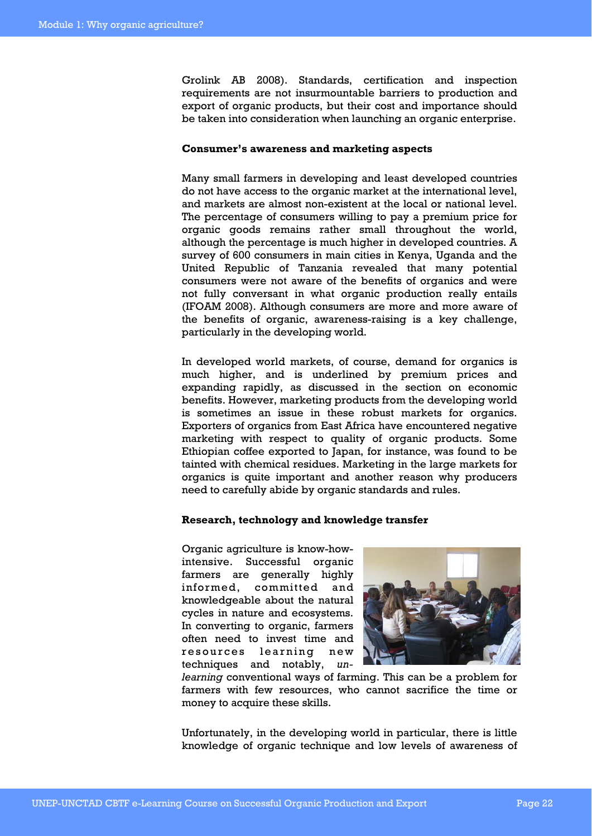Grolink AB 2008). Standards, certification and inspection requirements are not insurmountable barriers to production and export of organic products, but their cost and importance should be taken into consideration when launching an organic enterprise.

#### **Consumer's awareness and marketing aspects**

Many small farmers in developing and least developed countries do not have access to the organic market at the international level, and markets are almost non-existent at the local or national level. The percentage of consumers willing to pay a premium price for organic goods remains rather small throughout the world, although the percentage is much higher in developed countries. A survey of 600 consumers in main cities in Kenya, Uganda and the United Republic of Tanzania revealed that many potential consumers were not aware of the benefits of organics and were not fully conversant in what organic production really entails (IFOAM 2008). Although consumers are more and more aware of the benefits of organic, awareness-raising is a key challenge, particularly in the developing world.

In developed world markets, of course, demand for organics is much higher, and is underlined by premium prices and expanding rapidly, as discussed in the section on economic benefits. However, marketing products from the developing world is sometimes an issue in these robust markets for organics. Exporters of organics from East Africa have encountered negative marketing with respect to quality of organic products. Some Ethiopian coffee exported to Japan, for instance, was found to be tainted with chemical residues. Marketing in the large markets for organics is quite important and another reason why producers need to carefully abide by organic standards and rules.

#### **Research, technology and knowledge transfer**

Organic agriculture is know-howintensive. Successful organic farmers are generally highly informed, committed and knowledgeable about the natural cycles in nature and ecosystems. In converting to organic, farmers often need to invest time and resources learning new techniques and notably, *un-*



*learning* conventional ways of farming. This can be a problem for farmers with few resources, who cannot sacrifice the time or money to acquire these skills.

Unfortunately, in the developing world in particular, there is little knowledge of organic technique and low levels of awareness of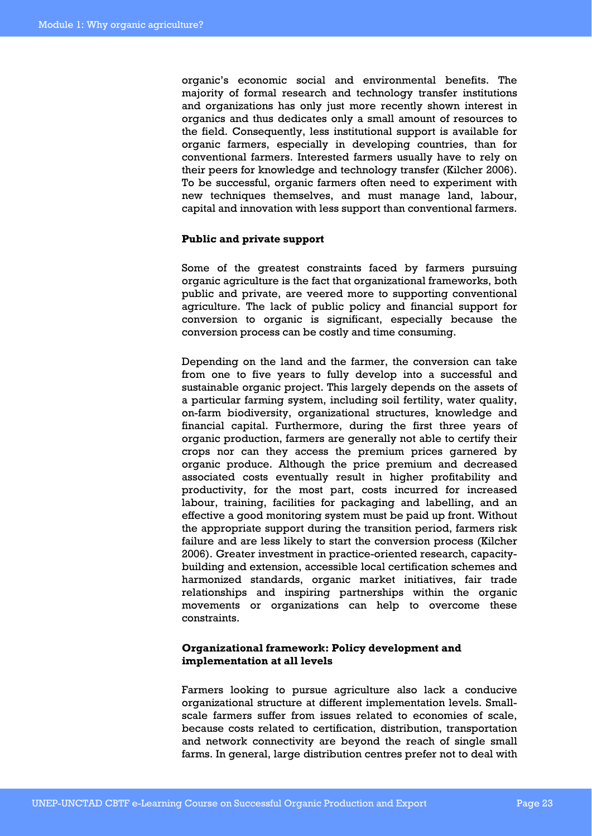organic's economic social and environmental benefits. The majority of formal research and technology transfer institutions and organizations has only just more recently shown interest in organics and thus dedicates only a small amount of resources to the field. Consequently, less institutional support is available for organic farmers, especially in developing countries, than for conventional farmers. Interested farmers usually have to rely on their peers for knowledge and technology transfer (Kilcher 2006). To be successful, organic farmers often need to experiment with new techniques themselves, and must manage land, labour, capital and innovation with less support than conventional farmers.

#### **Public and private support**

Some of the greatest constraints faced by farmers pursuing organic agriculture is the fact that organizational frameworks, both public and private, are veered more to supporting conventional agriculture. The lack of public policy and financial support for conversion to organic is significant, especially because the conversion process can be costly and time consuming.

Depending on the land and the farmer, the conversion can take from one to five years to fully develop into a successful and sustainable organic project. This largely depends on the assets of a particular farming system, including soil fertility, water quality, on-farm biodiversity, organizational structures, knowledge and financial capital. Furthermore, during the first three years of organic production, farmers are generally not able to certify their crops nor can they access the premium prices garnered by organic produce. Although the price premium and decreased associated costs eventually result in higher profitability and productivity, for the most part, costs incurred for increased labour, training, facilities for packaging and labelling, and an effective a good monitoring system must be paid up front. Without the appropriate support during the transition period, farmers risk failure and are less likely to start the conversion process (Kilcher 2006). Greater investment in practice-oriented research, capacitybuilding and extension, accessible local certification schemes and harmonized standards, organic market initiatives, fair trade relationships and inspiring partnerships within the organic movements or organizations can help to overcome these constraints.

#### **Organizational framework: Policy development and implementation at all levels**

Farmers looking to pursue agriculture also lack a conducive organizational structure at different implementation levels. Smallscale farmers suffer from issues related to economies of scale, because costs related to certification, distribution, transportation and network connectivity are beyond the reach of single small farms. In general, large distribution centres prefer not to deal with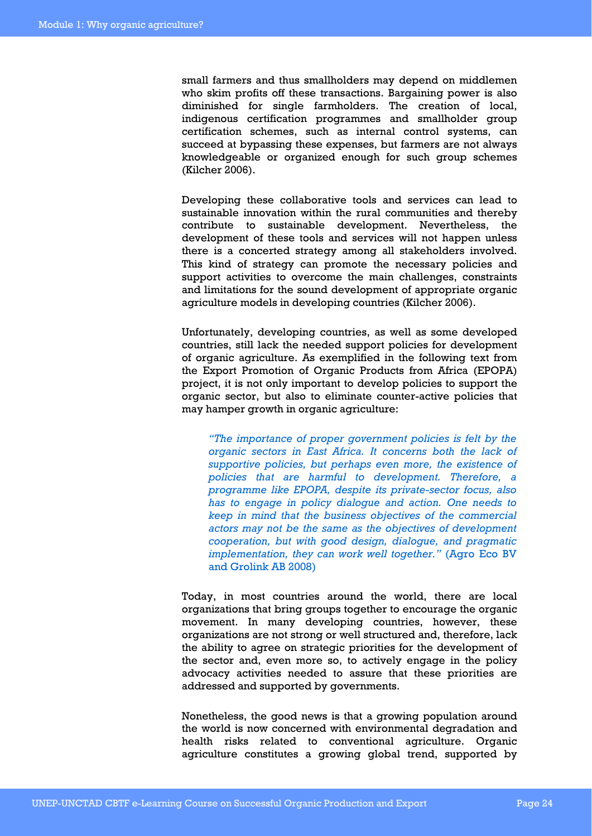small farmers and thus smallholders may depend on middlemen who skim profits off these transactions. Bargaining power is also diminished for single farmholders. The creation of local, indigenous certification programmes and smallholder group certification schemes, such as internal control systems, can succeed at bypassing these expenses, but farmers are not always knowledgeable or organized enough for such group schemes (Kilcher 2006).

Developing these collaborative tools and services can lead to sustainable innovation within the rural communities and thereby contribute to sustainable development. Nevertheless, the development of these tools and services will not happen unless there is a concerted strategy among all stakeholders involved. This kind of strategy can promote the necessary policies and support activities to overcome the main challenges, constraints and limitations for the sound development of appropriate organic agriculture models in developing countries (Kilcher 2006).

Unfortunately, developing countries, as well as some developed countries, still lack the needed support policies for development of organic agriculture. As exemplified in the following text from the Export Promotion of Organic Products from Africa (EPOPA) project, it is not only important to develop policies to support the organic sector, but also to eliminate counter-active policies that may hamper growth in organic agriculture:

*"The importance of proper government policies is felt by the organic sectors in East Africa. It concerns both the lack of supportive policies, but perhaps even more, the existence of policies that are harmful to development. Therefore, a programme like EPOPA, despite its private-sector focus, also has to engage in policy dialogue and action. One needs to keep in mind that the business objectives of the commercial actors may not be the same as the objectives of development cooperation, but with good design, dialogue, and pragmatic implementation, they can work well together."* (Agro Eco BV and Grolink AB 2008)

Today, in most countries around the world, there are local organizations that bring groups together to encourage the organic movement. In many developing countries, however, these organizations are not strong or well structured and, therefore, lack the ability to agree on strategic priorities for the development of the sector and, even more so, to actively engage in the policy advocacy activities needed to assure that these priorities are addressed and supported by governments.

Nonetheless, the good news is that a growing population around the world is now concerned with environmental degradation and health risks related to conventional agriculture. Organic agriculture constitutes a growing global trend, supported by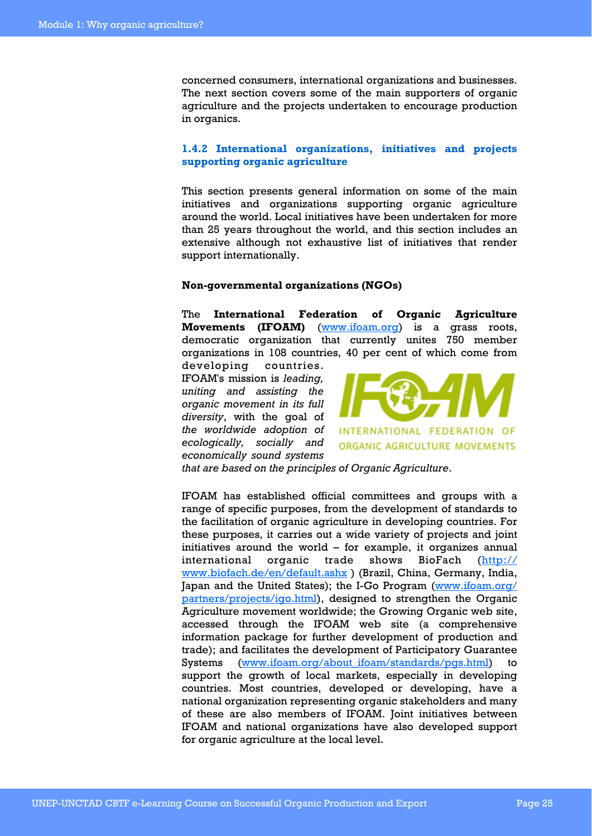concerned consumers, international organizations and businesses. The next section covers some of the main supporters of organic agriculture and the projects undertaken to encourage production in organics.

#### **1.4.2 International organizations, initiatives and projects supporting organic agriculture**

This section presents general information on some of the main initiatives and organizations supporting organic agriculture around the world. Local initiatives have been undertaken for more than 25 years throughout the world, and this section includes an extensive although not exhaustive list of initiatives that render support internationally.

#### **Non-governmental organizations (NGOs)**

The **International Federation of Organic Agriculture Movements (IFOAM)** (www.ifoam.org) is a grass roots, democratic organization that currently unites 750 member organizations in 108 countries, 40 per cent of which come from

developing countries. IFOAM's mission is *leading, uniting and assisting the organic movement in its full diversity*, with the goal of *the worldwide adoption of ecologically, socially and economically sound systems* 



*that are based on the principles of Organic Agriculture*.

IFOAM has established official committees and groups with a range of specific purposes, from the development of standards to the facilitation of organic agriculture in developing countries. For these purposes, it carries out a wide variety of projects and joint initiatives around the world – for example, it organizes annual international organic trade shows BioFach (http:// www.biofach.de/en/default.ashx ) (Brazil, China, Germany, India, Japan and the United States); the I-Go Program (www.ifoam.org/ partners/projects/igo.html), designed to strengthen the Organic Agriculture movement worldwide; the Growing Organic web site, accessed through the IFOAM web site (a comprehensive information package for further development of production and trade); and facilitates the development of Participatory Guarantee Systems (www.ifoam.org/about\_ifoam/standards/pgs.html) to support the growth of local markets, especially in developing countries. Most countries, developed or developing, have a national organization representing organic stakeholders and many of these are also members of IFOAM. Joint initiatives between IFOAM and national organizations have also developed support for organic agriculture at the local level.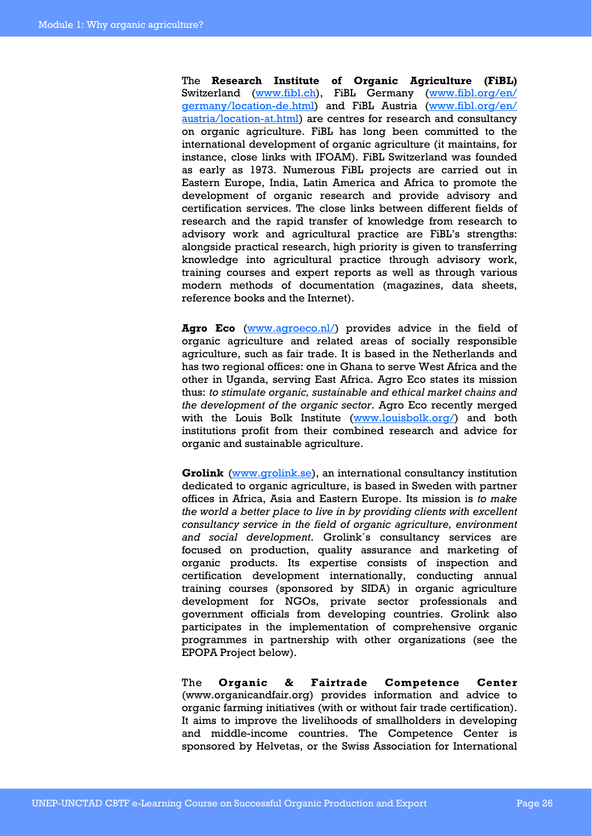The **Research Institute of Organic Agriculture (FiBL)** Switzerland (www.fibl.ch), FiBL Germany (www.fibl.org/en/ germany/location-de.html) and FiBL Austria (www.fibl.org/en/ austria/location-at.html) are centres for research and consultancy on organic agriculture. FiBL has long been committed to the international development of organic agriculture (it maintains, for instance, close links with IFOAM). FiBL Switzerland was founded as early as 1973. Numerous FiBL projects are carried out in Eastern Europe, India, Latin America and Africa to promote the development of organic research and provide advisory and certification services. The close links between different fields of research and the rapid transfer of knowledge from research to advisory work and agricultural practice are FiBL's strengths: alongside practical research, high priority is given to transferring knowledge into agricultural practice through advisory work, training courses and expert reports as well as through various modern methods of documentation (magazines, data sheets, reference books and the Internet).

Agro Eco (www.agroeco.nl/) provides advice in the field of organic agriculture and related areas of socially responsible agriculture, such as fair trade. It is based in the Netherlands and has two regional offices: one in Ghana to serve West Africa and the other in Uganda, serving East Africa. Agro Eco states its mission thus: *to stimulate organic, sustainable and ethical market chains and the development of the organic sector*. Agro Eco recently merged with the Louis Bolk Institute (www.louisbolk.org/) and both institutions profit from their combined research and advice for organic and sustainable agriculture.

**Grolink** (www.grolink.se), an international consultancy institution dedicated to organic agriculture, is based in Sweden with partner offices in Africa, Asia and Eastern Europe. Its mission is *to make the world a better place to live in by providing clients with excellent consultancy service in the field of organic agriculture, environment and social development*. Grolink´s consultancy services are focused on production, quality assurance and marketing of organic products. Its expertise consists of inspection and certification development internationally, conducting annual training courses (sponsored by SIDA) in organic agriculture development for NGOs, private sector professionals and government officials from developing countries. Grolink also participates in the implementation of comprehensive organic programmes in partnership with other organizations (see the EPOPA Project below).

The **Organic & Fairtrade Competence Center**  (www.organicandfair.org) provides information and advice to organic farming initiatives (with or without fair trade certification). It aims to improve the livelihoods of smallholders in developing and middle-income countries. The Competence Center is sponsored by Helvetas, or the Swiss Association for International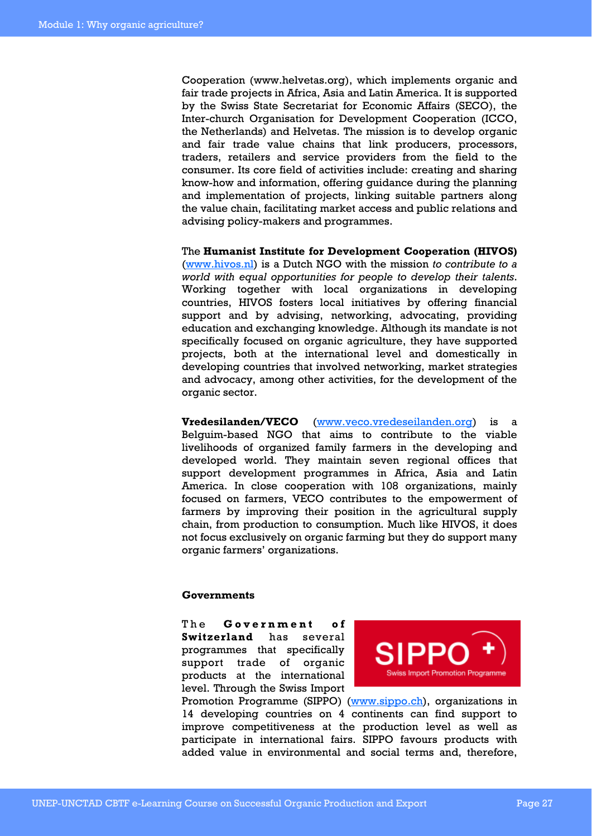Cooperation (www.helvetas.org), which implements organic and fair trade projects in Africa, Asia and Latin America. It is supported by the Swiss State Secretariat for Economic Affairs (SECO), the Inter-church Organisation for Development Cooperation (ICCO, the Netherlands) and Helvetas. The mission is to develop organic and fair trade value chains that link producers, processors, traders, retailers and service providers from the field to the consumer. Its core field of activities include: creating and sharing know-how and information, offering guidance during the planning and implementation of projects, linking suitable partners along the value chain, facilitating market access and public relations and advising policy-makers and programmes.

The **Humanist Institute for Development Cooperation (HIVOS)**  (www.hivos.nl) is a Dutch NGO with the mission *to contribute to a world with equal opportunities for people to develop their talents*. Working together with local organizations in developing countries, HIVOS fosters local initiatives by offering financial support and by advising, networking, advocating, providing education and exchanging knowledge. Although its mandate is not specifically focused on organic agriculture, they have supported projects, both at the international level and domestically in developing countries that involved networking, market strategies and advocacy, among other activities, for the development of the organic sector.

**Vredesilanden/VECO** (www.veco.vredeseilanden.org) is a Belguim-based NGO that aims to contribute to the viable livelihoods of organized family farmers in the developing and developed world. They maintain seven regional offices that support development programmes in Africa, Asia and Latin America. In close cooperation with 108 organizations, mainly focused on farmers, VECO contributes to the empowerment of farmers by improving their position in the agricultural supply chain, from production to consumption. Much like HIVOS, it does not focus exclusively on organic farming but they do support many organic farmers' organizations.

#### **Governments**

The **Government** of **Switzerland** has several programmes that specifically support trade of organic products at the international level. Through the Swiss Import



Promotion Programme (SIPPO) (www.sippo.ch), organizations in 14 developing countries on 4 continents can find support to improve competitiveness at the production level as well as participate in international fairs. SIPPO favours products with added value in environmental and social terms and, therefore,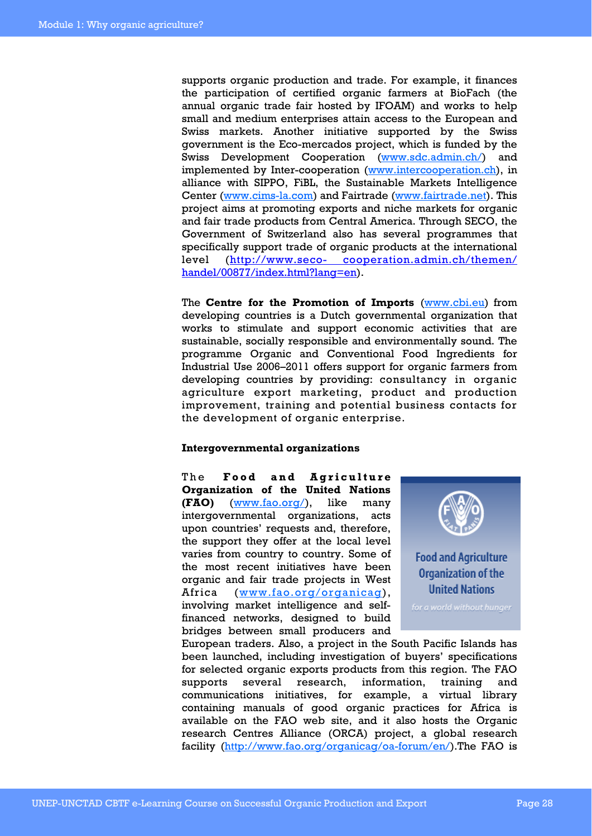supports organic production and trade. For example, it finances the participation of certified organic farmers at BioFach (the annual organic trade fair hosted by IFOAM) and works to help small and medium enterprises attain access to the European and Swiss markets. Another initiative supported by the Swiss government is the Eco-mercados project, which is funded by the Swiss Development Cooperation (www.sdc.admin.ch/) and implemented by Inter-cooperation (www.intercooperation.ch), in alliance with SIPPO, FiBL, the Sustainable Markets Intelligence Center (www.cims-la.com) and Fairtrade (www.fairtrade.net). This project aims at promoting exports and niche markets for organic and fair trade products from Central America. Through SECO, the Government of Switzerland also has several programmes that specifically support trade of organic products at the international level (http://www.seco- cooperation.admin.ch/themen/ handel/00877/index.html?lang=en).

The **Centre for the Promotion of Imports** (www.cbi.eu) from developing countries is a Dutch governmental organization that works to stimulate and support economic activities that are sustainable, socially responsible and environmentally sound. The programme Organic and Conventional Food Ingredients for Industrial Use 2006–2011 offers support for organic farmers from developing countries by providing: consultancy in organic agriculture export marketing, product and production improvement, training and potential business contacts for the development of organic enterprise.

#### **Intergovernmental organizations**

The **Food and Agriculture Organization of the United Nations (FAO)** (www.fao.org/), like many intergovernmental organizations, acts upon countries' requests and, therefore, the support they offer at the local level varies from country to country. Some of the most recent initiatives have been organic and fair trade projects in West Africa (www.fao.org/organicag), involving market intelligence and selffinanced networks, designed to build bridges between small producers and



European traders. Also, a project in the South Pacific Islands has been launched, including investigation of buyers' specifications for selected organic exports products from this region. The FAO supports several research, information, training and communications initiatives, for example, a virtual library containing manuals of good organic practices for Africa is available on the FAO web site, and it also hosts the Organic research Centres Alliance (ORCA) project, a global research facility (http://www.fao.org/organicag/oa-forum/en/).The FAO is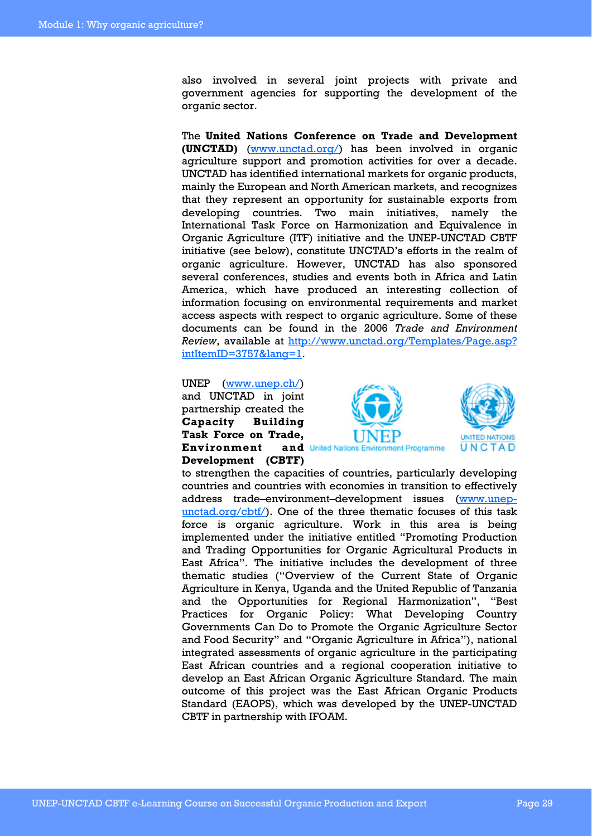also involved in several joint projects with private and government agencies for supporting the development of the organic sector.

The **United Nations Conference on Trade and Development (UNCTAD)** (www.unctad.org/) has been involved in organic agriculture support and promotion activities for over a decade. UNCTAD has identified international markets for organic products, mainly the European and North American markets, and recognizes that they represent an opportunity for sustainable exports from developing countries. Two main initiatives, namely the International Task Force on Harmonization and Equivalence in Organic Agriculture (ITF) initiative and the UNEP-UNCTAD CBTF initiative (see below), constitute UNCTAD's efforts in the realm of organic agriculture. However, UNCTAD has also sponsored several conferences, studies and events both in Africa and Latin America, which have produced an interesting collection of information focusing on environmental requirements and market access aspects with respect to organic agriculture. Some of these documents can be found in the 2006 *Trade and Environment Review*, available at http://www.unctad.org/Templates/Page.asp? intItemID=3757&lang=1.

UNEP (www.unep.ch/) and UNCTAD in joint partnership created the **Capacity Building Task Force on Trade, Environment** and United Nations Environment Programme **Development (CBTF)** 





to strengthen the capacities of countries, particularly developing countries and countries with economies in transition to effectively address trade–environment–development issues (www.unepunctad.org/cbtf/). One of the three thematic focuses of this task force is organic agriculture. Work in this area is being implemented under the initiative entitled "Promoting Production and Trading Opportunities for Organic Agricultural Products in East Africa". The initiative includes the development of three thematic studies ("Overview of the Current State of Organic Agriculture in Kenya, Uganda and the United Republic of Tanzania and the Opportunities for Regional Harmonization", "Best Practices for Organic Policy: What Developing Country Governments Can Do to Promote the Organic Agriculture Sector and Food Security" and "Organic Agriculture in Africa"), national integrated assessments of organic agriculture in the participating East African countries and a regional cooperation initiative to develop an East African Organic Agriculture Standard. The main outcome of this project was the East African Organic Products Standard (EAOPS), which was developed by the UNEP-UNCTAD CBTF in partnership with IFOAM.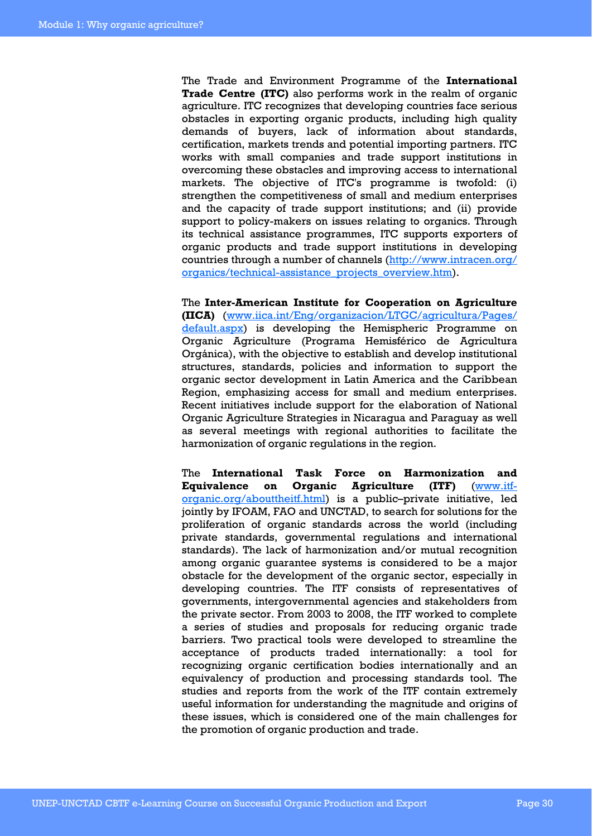The Trade and Environment Programme of the **International Trade Centre (ITC)** also performs work in the realm of organic agriculture. ITC recognizes that developing countries face serious obstacles in exporting organic products, including high quality demands of buyers, lack of information about standards, certification, markets trends and potential importing partners. ITC works with small companies and trade support institutions in overcoming these obstacles and improving access to international markets. The objective of ITC's programme is twofold: (i) strengthen the competitiveness of small and medium enterprises and the capacity of trade support institutions; and (ii) provide support to policy-makers on issues relating to organics. Through its technical assistance programmes, ITC supports exporters of organic products and trade support institutions in developing countries through a number of channels (http://www.intracen.org/ organics/technical-assistance\_projects\_overview.htm).

The **Inter-American Institute for Cooperation on Agriculture (IICA)** (www.iica.int/Eng/organizacion/LTGC/agricultura/Pages/ default.aspx) is developing the Hemispheric Programme on Organic Agriculture (Programa Hemisférico de Agricultura Orgánica), with the objective to establish and develop institutional structures, standards, policies and information to support the organic sector development in Latin America and the Caribbean Region, emphasizing access for small and medium enterprises. Recent initiatives include support for the elaboration of National Organic Agriculture Strategies in Nicaragua and Paraguay as well as several meetings with regional authorities to facilitate the harmonization of organic regulations in the region.

The **International Task Force on Harmonization and Equivalence on Organic Agriculture (ITF)** (www.itforganic.org/abouttheitf.html) is a public–private initiative, led jointly by IFOAM, FAO and UNCTAD, to search for solutions for the proliferation of organic standards across the world (including private standards, governmental regulations and international standards). The lack of harmonization and/or mutual recognition among organic guarantee systems is considered to be a major obstacle for the development of the organic sector, especially in developing countries. The ITF consists of representatives of governments, intergovernmental agencies and stakeholders from the private sector. From 2003 to 2008, the ITF worked to complete a series of studies and proposals for reducing organic trade barriers. Two practical tools were developed to streamline the acceptance of products traded internationally: a tool for recognizing organic certification bodies internationally and an equivalency of production and processing standards tool. The studies and reports from the work of the ITF contain extremely useful information for understanding the magnitude and origins of these issues, which is considered one of the main challenges for the promotion of organic production and trade.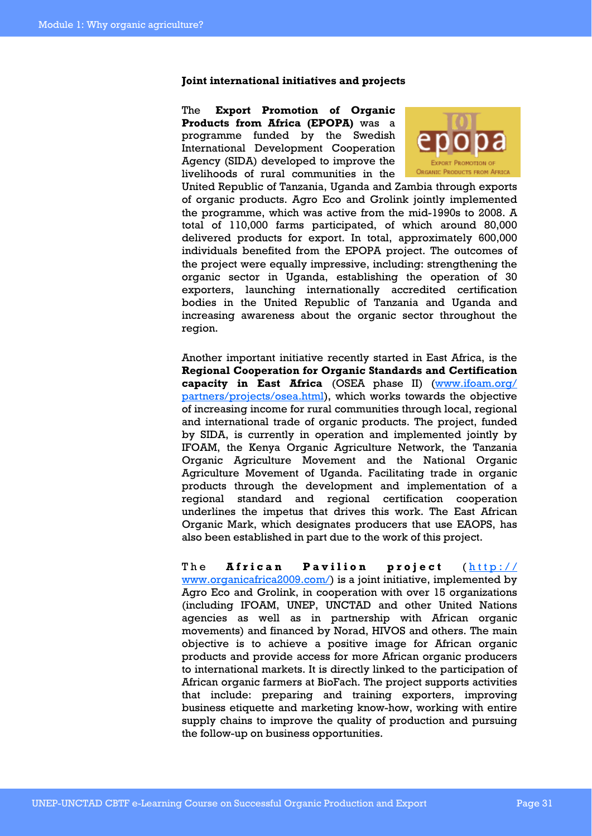#### **Joint international initiatives and projects**

The **Export Promotion of Organic Products from Africa (EPOPA)** was a programme funded by the Swedish International Development Cooperation Agency (SIDA) developed to improve the livelihoods of rural communities in the



United Republic of Tanzania, Uganda and Zambia through exports of organic products. Agro Eco and Grolink jointly implemented the programme, which was active from the mid-1990s to 2008. A total of 110,000 farms participated, of which around 80,000 delivered products for export. In total, approximately 600,000 individuals benefited from the EPOPA project. The outcomes of the project were equally impressive, including: strengthening the organic sector in Uganda, establishing the operation of 30 exporters, launching internationally accredited certification bodies in the United Republic of Tanzania and Uganda and increasing awareness about the organic sector throughout the region.

Another important initiative recently started in East Africa, is the **Regional Cooperation for Organic Standards and Certification capacity in East Africa** (OSEA phase II) (www.ifoam.org/ partners/projects/osea.html), which works towards the objective of increasing income for rural communities through local, regional and international trade of organic products. The project, funded by SIDA, is currently in operation and implemented jointly by IFOAM, the Kenya Organic Agriculture Network, the Tanzania Organic Agriculture Movement and the National Organic Agriculture Movement of Uganda. Facilitating trade in organic products through the development and implementation of a regional standard and regional certification cooperation underlines the impetus that drives this work. The East African Organic Mark, which designates producers that use EAOPS, has also been established in part due to the work of this project.

The **African Pavilion project** ( http:// www.organicafrica2009.com/) is a joint initiative, implemented by Agro Eco and Grolink, in cooperation with over 15 organizations (including IFOAM, UNEP, UNCTAD and other United Nations agencies as well as in partnership with African organic movements) and financed by Norad, HIVOS and others. The main objective is to achieve a positive image for African organic products and provide access for more African organic producers to international markets. It is directly linked to the participation of African organic farmers at BioFach. The project supports activities that include: preparing and training exporters, improving business etiquette and marketing know-how, working with entire supply chains to improve the quality of production and pursuing the follow-up on business opportunities.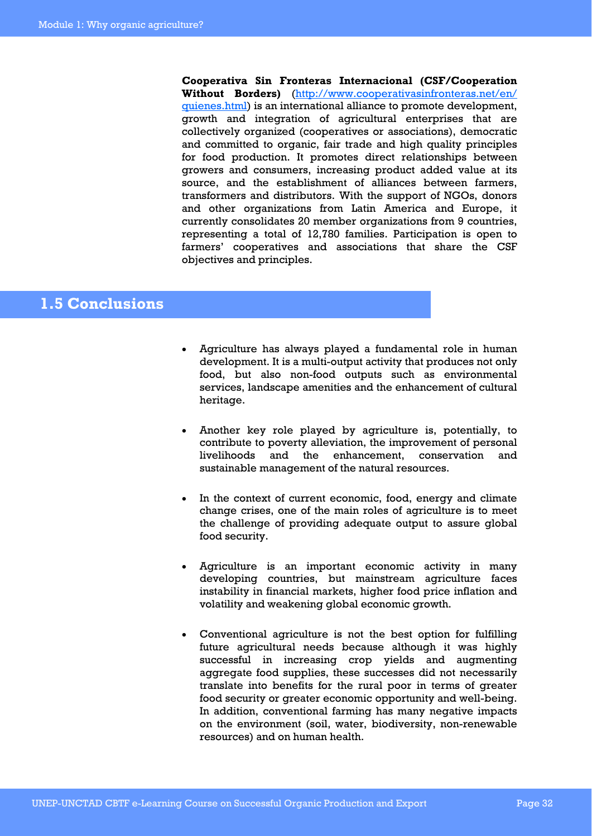**Cooperativa Sin Fronteras Internacional (CSF/Cooperation Without Borders)** (http://www.cooperativasinfronteras.net/en/ quienes.html) is an international alliance to promote development, growth and integration of agricultural enterprises that are collectively organized (cooperatives or associations), democratic and committed to organic, fair trade and high quality principles for food production. It promotes direct relationships between growers and consumers, increasing product added value at its source, and the establishment of alliances between farmers, transformers and distributors. With the support of NGOs, donors and other organizations from Latin America and Europe, it currently consolidates 20 member organizations from 9 countries, representing a total of 12,780 families. Participation is open to farmers' cooperatives and associations that share the CSF objectives and principles.

## **1.5 Conclusions**

- Agriculture has always played a fundamental role in human development. It is a multi-output activity that produces not only food, but also non-food outputs such as environmental services, landscape amenities and the enhancement of cultural heritage.
- Another key role played by agriculture is, potentially, to contribute to poverty alleviation, the improvement of personal livelihoods and the enhancement, conservation and sustainable management of the natural resources.
- In the context of current economic, food, energy and climate change crises, one of the main roles of agriculture is to meet the challenge of providing adequate output to assure global food security.
- Agriculture is an important economic activity in many developing countries, but mainstream agriculture faces instability in financial markets, higher food price inflation and volatility and weakening global economic growth.
- Conventional agriculture is not the best option for fulfilling future agricultural needs because although it was highly successful in increasing crop yields and augmenting aggregate food supplies, these successes did not necessarily translate into benefits for the rural poor in terms of greater food security or greater economic opportunity and well-being. In addition, conventional farming has many negative impacts on the environment (soil, water, biodiversity, non-renewable resources) and on human health.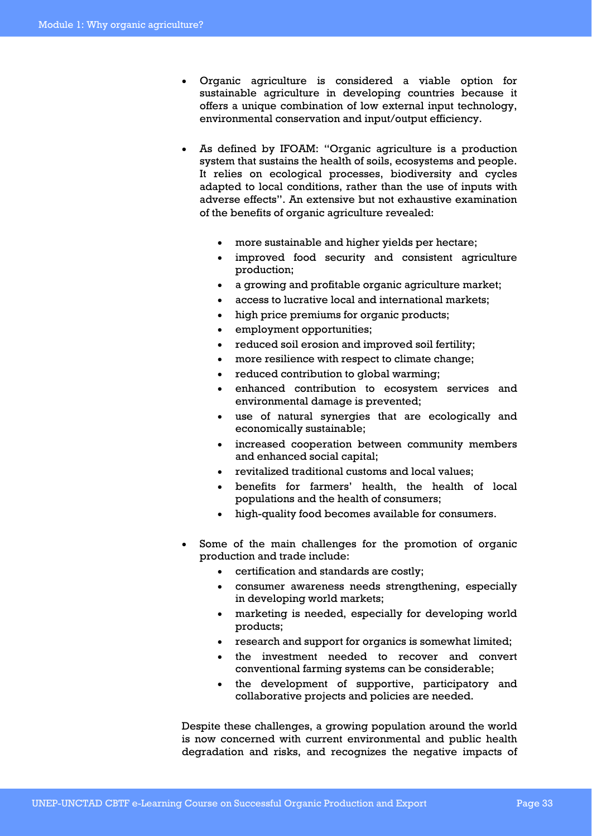- Organic agriculture is considered a viable option for sustainable agriculture in developing countries because it offers a unique combination of low external input technology, environmental conservation and input/output efficiency.
- As defined by IFOAM: "Organic agriculture is a production system that sustains the health of soils, ecosystems and people. It relies on ecological processes, biodiversity and cycles adapted to local conditions, rather than the use of inputs with adverse effects". An extensive but not exhaustive examination of the benefits of organic agriculture revealed:
	- more sustainable and higher yields per hectare;
	- improved food security and consistent agriculture production;
	- a growing and profitable organic agriculture market;
	- access to lucrative local and international markets;
	- high price premiums for organic products;
	- employment opportunities;
	- reduced soil erosion and improved soil fertility;
	- more resilience with respect to climate change;
	- reduced contribution to global warming;
	- enhanced contribution to ecosystem services and environmental damage is prevented;
	- use of natural synergies that are ecologically and economically sustainable;
	- increased cooperation between community members and enhanced social capital;
	- revitalized traditional customs and local values;
	- benefits for farmers' health, the health of local populations and the health of consumers;
	- high-quality food becomes available for consumers.
- Some of the main challenges for the promotion of organic production and trade include:
	- certification and standards are costly;
	- consumer awareness needs strengthening, especially in developing world markets;
	- marketing is needed, especially for developing world products;
	- research and support for organics is somewhat limited;
	- the investment needed to recover and convert conventional farming systems can be considerable;
	- the development of supportive, participatory and collaborative projects and policies are needed.

Despite these challenges, a growing population around the world is now concerned with current environmental and public health degradation and risks, and recognizes the negative impacts of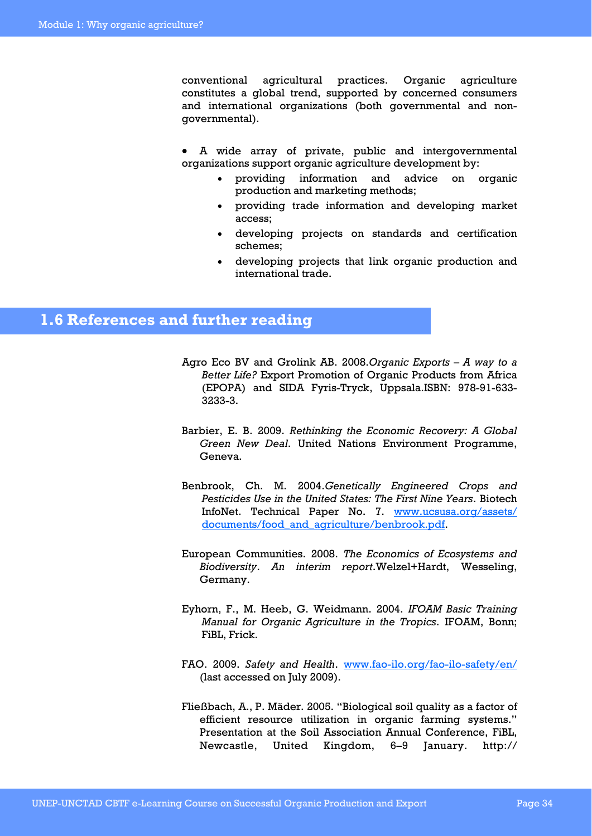conventional agricultural practices. Organic agriculture constitutes a global trend, supported by concerned consumers and international organizations (both governmental and nongovernmental).

- A wide array of private, public and intergovernmental organizations support organic agriculture development by:
	- providing information and advice on organic production and marketing methods;
	- providing trade information and developing market access;
	- developing projects on standards and certification schemes;
	- developing projects that link organic production and international trade.

## **1.6 References and further reading**

- Agro Eco BV and Grolink AB. 2008.*Organic Exports A way to a Better Life?* Export Promotion of Organic Products from Africa (EPOPA) and SIDA Fyris-Tryck, Uppsala.ISBN: 978-91-633- 3233-3.
- Barbier, E. B. 2009. *Rethinking the Economic Recovery: A Global Green New Deal*. United Nations Environment Programme, Geneva.
- Benbrook, Ch. M. 2004.*Genetically Engineered Crops and Pesticides Use in the United States: The First Nine Years*. Biotech InfoNet. Technical Paper No. 7. www.ucsusa.org/assets/ documents/food\_and\_agriculture/benbrook.pdf.
- European Communities. 2008. *The Economics of Ecosystems and Biodiversity*. *An interim report*.Welzel+Hardt, Wesseling, Germany.
- Eyhorn, F., M. Heeb, G. Weidmann. 2004. *IFOAM Basic Training Manual for Organic Agriculture in the Tropics*. IFOAM, Bonn; FiBL, Frick.
- FAO. 2009. *Safety and Health*. www.fao-ilo.org/fao-ilo-safety/en/ (last accessed on July 2009).
- Fließbach, A., P. Mäder. 2005. "Biological soil quality as a factor of efficient resource utilization in organic farming systems." Presentation at the Soil Association Annual Conference, FiBL, Newcastle, United Kingdom, 6–9 January. http://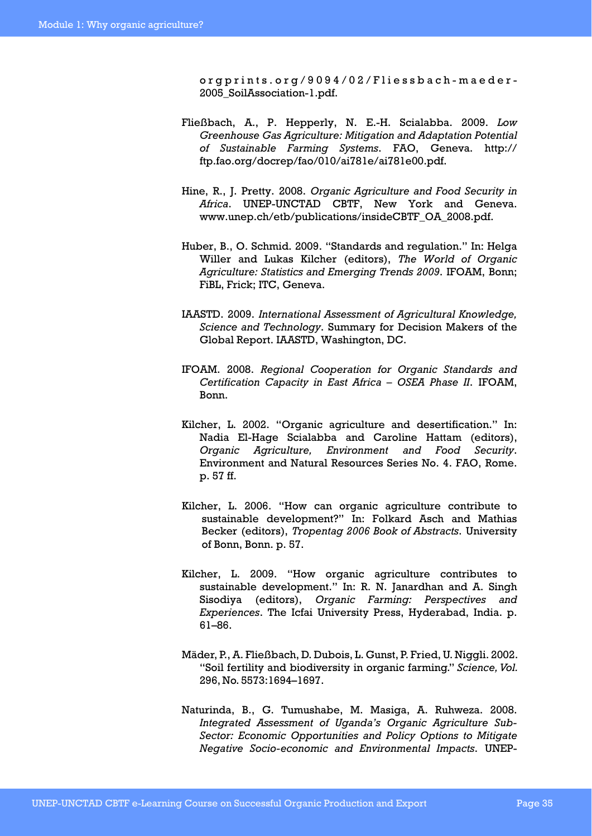orgprints.org/9094/02/Fliessbach-maeder-2005\_SoilAssociation-1.pdf.

- Fließbach, A., P. Hepperly, N. E.-H. Scialabba. 2009. *Low Greenhouse Gas Agriculture: Mitigation and Adaptation Potential of Sustainable Farming Systems*. FAO, Geneva. http:// ftp.fao.org/docrep/fao/010/ai781e/ai781e00.pdf.
- Hine, R., J. Pretty. 2008. *Organic Agriculture and Food Security in Africa*. UNEP-UNCTAD CBTF, New York and Geneva. www.unep.ch/etb/publications/insideCBTF\_OA\_2008.pdf.
- Huber, B., O. Schmid. 2009. "Standards and regulation." In: Helga Willer and Lukas Kilcher (editors), *The World of Organic Agriculture: Statistics and Emerging Trends 2009*. IFOAM, Bonn; FiBL, Frick; ITC, Geneva.
- IAASTD. 2009. *International Assessment of Agricultural Knowledge, Science and Technology*. Summary for Decision Makers of the Global Report. IAASTD, Washington, DC.
- IFOAM. 2008. *Regional Cooperation for Organic Standards and Certification Capacity in East Africa – OSEA Phase II*. IFOAM, Bonn.
- Kilcher, L. 2002. "Organic agriculture and desertification." In: Nadia El-Hage Scialabba and Caroline Hattam (editors), *Organic Agriculture, Environment and Food Security*. Environment and Natural Resources Series No. 4. FAO, Rome. p. 57 ff.
- Kilcher, L. 2006. "How can organic agriculture contribute to sustainable development?" In: Folkard Asch and Mathias Becker (editors), *Tropentag 2006 Book of Abstracts*. University of Bonn, Bonn. p. 57.
- Kilcher, L. 2009. "How organic agriculture contributes to sustainable development." In: R. N. Janardhan and A. Singh Sisodiya (editors), *Organic Farming: Perspectives and Experiences*. The Icfai University Press, Hyderabad, India. p. 61–86.
- Mäder, P., A. Fließbach, D. Dubois, L. Gunst, P. Fried, U. Niggli. 2002. "Soil fertility and biodiversity in organic farming." *Science, Vol.*  296, No. 5573:1694–1697.
- Naturinda, B., G. Tumushabe, M. Masiga, A. Ruhweza. 2008. *Integrated Assessment of Uganda's Organic Agriculture Sub-Sector: Economic Opportunities and Policy Options to Mitigate Negative Socio-economic and Environmental Impacts*. UNEP-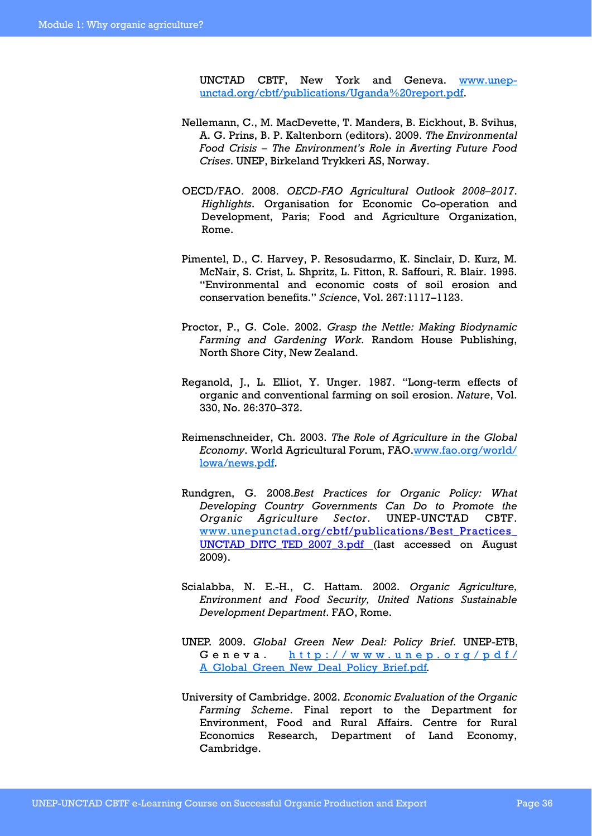UNCTAD CBTF, New York and Geneva. www.unepunctad.org/cbtf/publications/Uganda%20report.pdf.

- Nellemann, C., M. MacDevette, T. Manders, B. Eickhout, B. Svihus, A. G. Prins, B. P. Kaltenborn (editors). 2009. *The Environmental Food Crisis – The Environment's Role in Averting Future Food Crises*. UNEP, Birkeland Trykkeri AS, Norway.
- OECD/FAO. 2008. *OECD-FAO Agricultural Outlook 2008–2017*. *Highlights*. Organisation for Economic Co-operation and Development, Paris; Food and Agriculture Organization, Rome.
- Pimentel, D., C. Harvey, P. Resosudarmo, K. Sinclair, D. Kurz, M. McNair, S. Crist, L. Shpritz, L. Fitton, R. Saffouri, R. Blair. 1995. "Environmental and economic costs of soil erosion and conservation benefits." *Science*, Vol. 267:1117–1123.
- Proctor, P., G. Cole. 2002. *Grasp the Nettle: Making Biodynamic Farming and Gardening Work*. Random House Publishing, North Shore City, New Zealand.
- Reganold, J., L. Elliot, Y. Unger. 1987. "Long-term effects of organic and conventional farming on soil erosion. *Nature*, Vol. 330, No. 26:370–372.
- Reimenschneider, Ch. 2003. *The Role of Agriculture in the Global Economy*. World Agricultural Forum, FAO.www.fao.org/world/ lowa/news.pdf.
- Rundgren, G. 2008.*Best Practices for Organic Policy: What Developing Country Governments Can Do to Promote the Organic Agriculture Sector*. UNEP-UNCTAD CBTF. www.unepunctad.org/cbtf/publications/Best\_Practices\_ UNCTAD DITC TED 2007 3.pdf (last accessed on August 2009).
- Scialabba, N. E.-H., C. Hattam. 2002. *Organic Agriculture, Environment and Food Security, United Nations Sustainable Development Department*. FAO, Rome.
- UNEP. 2009. *Global Green New Deal: Policy Brief*. UNEP-ETB, Geneva. http://www.unep.org/pdf/ A\_Global\_Green\_New\_Deal\_Policy\_Brief.pdf*.*
- University of Cambridge. 2002. *Economic Evaluation of the Organic Farming Scheme*. Final report to the Department for Environment, Food and Rural Affairs. Centre for Rural Economics Research, Department of Land Economy, Cambridge.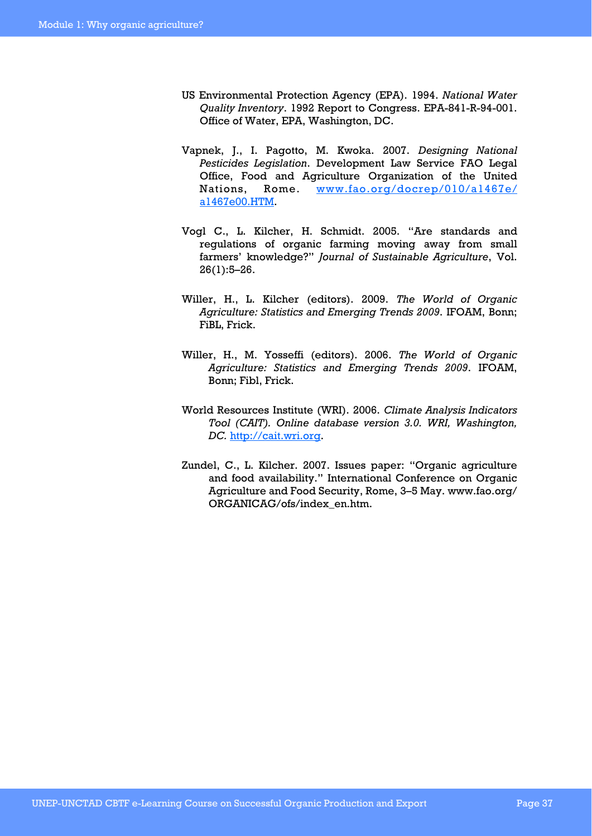- US Environmental Protection Agency (EPA). 1994. *National Water Quality Inventory*. 1992 Report to Congress. EPA-841-R-94-001. Office of Water, EPA, Washington, DC.
- Vapnek, J., I. Pagotto, M. Kwoka. 2007. *Designing National Pesticides Legislation*. Development Law Service FAO Legal Office, Food and Agriculture Organization of the United Nations, Rome. www.fao.org/docrep/010/a1467e/ a1467e00.HTM.
- Vogl C., L. Kilcher, H. Schmidt. 2005. "Are standards and regulations of organic farming moving away from small farmers' knowledge?" *Journal of Sustainable Agriculture*, Vol. 26(1):5–26.
- Willer, H., L. Kilcher (editors). 2009. *The World of Organic Agriculture: Statistics and Emerging Trends 2009*. IFOAM, Bonn; FiBL, Frick.
- Willer, H., M. Yosseffi (editors). 2006. *The World of Organic Agriculture: Statistics and Emerging Trends 2009*. IFOAM, Bonn; Fibl, Frick.
- World Resources Institute (WRI). 2006. *Climate Analysis Indicators Tool (CAIT). Online database version 3.0. WRI, Washington, DC.* http://cait.wri.org.
- Zundel, C., L. Kilcher. 2007. Issues paper: "Organic agriculture and food availability." International Conference on Organic Agriculture and Food Security, Rome, 3–5 May. www.fao.org/ ORGANICAG/ofs/index\_en.htm.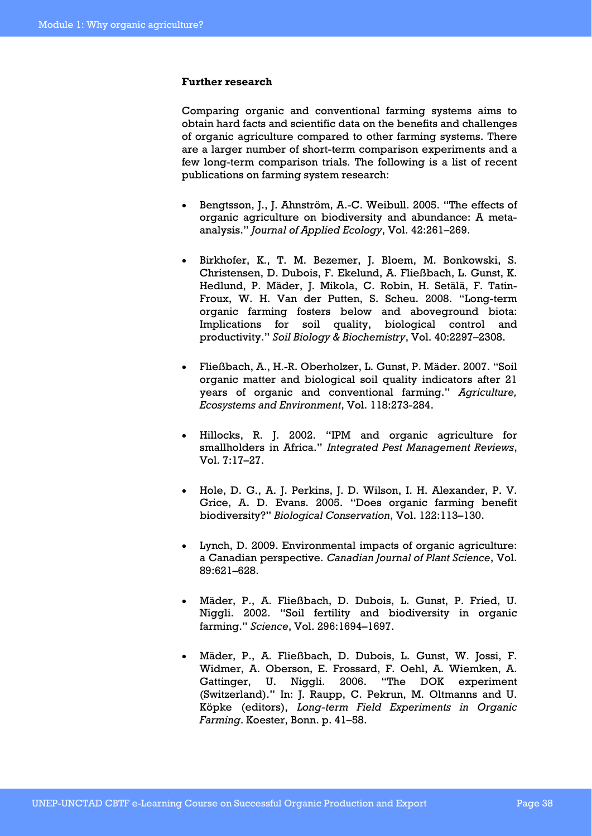#### **Further research**

Comparing organic and conventional farming systems aims to obtain hard facts and scientific data on the benefits and challenges of organic agriculture compared to other farming systems. There are a larger number of short-term comparison experiments and a few long-term comparison trials. The following is a list of recent publications on farming system research:

- Bengtsson, J., J. Ahnström, A.-C. Weibull. 2005. "The effects of organic agriculture on biodiversity and abundance: A metaanalysis." *Journal of Applied Ecology*, Vol. 42:261–269.
- Birkhofer, K., T. M. Bezemer, J. Bloem, M. Bonkowski, S. Christensen, D. Dubois, F. Ekelund, A. Fließbach, L. Gunst, K. Hedlund, P. Mäder, J. Mikola, C. Robin, H. Setälä, F. Tatin-Froux, W. H. Van der Putten, S. Scheu. 2008. "Long-term organic farming fosters below and aboveground biota: Implications for soil quality, biological control and productivity." *Soil Biology & Biochemistry*, Vol. 40:2297–2308.
- Fließbach, A., H.-R. Oberholzer, L. Gunst, P. Mäder. 2007. "Soil organic matter and biological soil quality indicators after 21 years of organic and conventional farming." *Agriculture, Ecosystems and Environment*, Vol. 118:273-284.
- Hillocks, R. J. 2002. "IPM and organic agriculture for smallholders in Africa." *Integrated Pest Management Reviews*, Vol. 7:17–27.
- Hole, D. G., A. J. Perkins, J. D. Wilson, I. H. Alexander, P. V. Grice, A. D. Evans. 2005. "Does organic farming benefit biodiversity?" *Biological Conservation*, Vol. 122:113–130.
- Lynch, D. 2009. Environmental impacts of organic agriculture: a Canadian perspective. *Canadian Journal of Plant Science*, Vol. 89:621–628.
- Mäder, P., A. Fließbach, D. Dubois, L. Gunst, P. Fried, U. Niggli. 2002. "Soil fertility and biodiversity in organic farming." *Science*, Vol. 296:1694–1697.
- Mäder, P., A. Fließbach, D. Dubois, L. Gunst, W. Jossi, F. Widmer, A. Oberson, E. Frossard, F. Oehl, A. Wiemken, A. Gattinger, U. Niggli. 2006. "The DOK experiment (Switzerland)." In: J. Raupp, C. Pekrun, M. Oltmanns and U. Köpke (editors), *Long-term Field Experiments in Organic Farming*. Koester, Bonn. p. 41–58.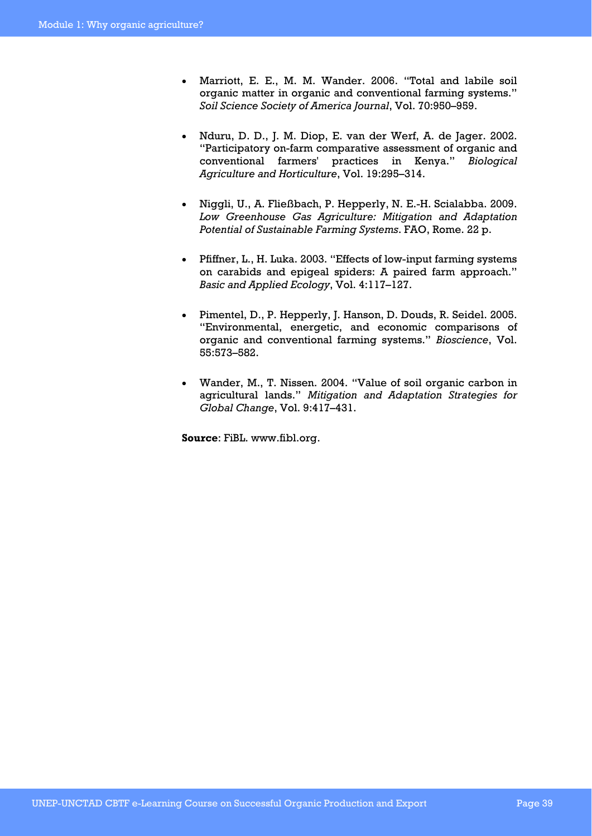- Marriott, E. E., M. M. Wander. 2006. "Total and labile soil organic matter in organic and conventional farming systems." *Soil Science Society of America Journal*, Vol. 70:950–959.
- Nduru, D. D., J. M. Diop, E. van der Werf, A. de Jager. 2002. "Participatory on-farm comparative assessment of organic and conventional farmers' practices in Kenya." *Biological Agriculture and Horticulture*, Vol. 19:295–314.
- Niggli, U., A. Fließbach, P. Hepperly, N. E.-H. Scialabba. 2009. *Low Greenhouse Gas Agriculture: Mitigation and Adaptation Potential of Sustainable Farming Systems*. FAO, Rome. 22 p.
- Pfiffner, L., H. Luka. 2003. "Effects of low-input farming systems on carabids and epigeal spiders: A paired farm approach." *Basic and Applied Ecology*, Vol. 4:117–127.
- Pimentel, D., P. Hepperly, J. Hanson, D. Douds, R. Seidel. 2005. "Environmental, energetic, and economic comparisons of organic and conventional farming systems." *Bioscience*, Vol. 55:573–582.
- Wander, M., T. Nissen. 2004. "Value of soil organic carbon in agricultural lands." *Mitigation and Adaptation Strategies for Global Change*, Vol. 9:417–431.

**Source**: FiBL. www.fibl.org.